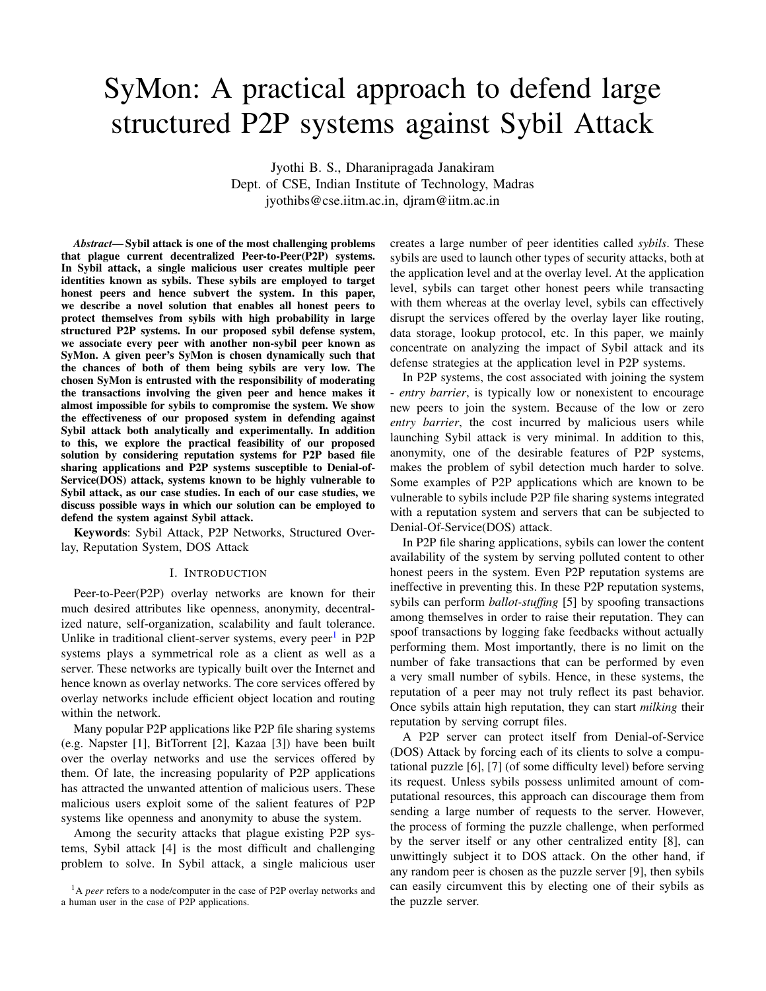# SyMon: A practical approach to defend large structured P2P systems against Sybil Attack

Jyothi B. S., Dharanipragada Janakiram Dept. of CSE, Indian Institute of Technology, Madras jyothibs@cse.iitm.ac.in, djram@iitm.ac.in

*Abstract*— Sybil attack is one of the most challenging problems that plague current decentralized Peer-to-Peer(P2P) systems. In Sybil attack, a single malicious user creates multiple peer identities known as sybils. These sybils are employed to target honest peers and hence subvert the system. In this paper, we describe a novel solution that enables all honest peers to protect themselves from sybils with high probability in large structured P2P systems. In our proposed sybil defense system, we associate every peer with another non-sybil peer known as SyMon. A given peer's SyMon is chosen dynamically such that the chances of both of them being sybils are very low. The chosen SyMon is entrusted with the responsibility of moderating the transactions involving the given peer and hence makes it almost impossible for sybils to compromise the system. We show the effectiveness of our proposed system in defending against Sybil attack both analytically and experimentally. In addition to this, we explore the practical feasibility of our proposed solution by considering reputation systems for P2P based file sharing applications and P2P systems susceptible to Denial-of-Service(DOS) attack, systems known to be highly vulnerable to Sybil attack, as our case studies. In each of our case studies, we discuss possible ways in which our solution can be employed to defend the system against Sybil attack.

Keywords: Sybil Attack, P2P Networks, Structured Overlay, Reputation System, DOS Attack

#### I. INTRODUCTION

<span id="page-0-1"></span>Peer-to-Peer(P2P) overlay networks are known for their much desired attributes like openness, anonymity, decentralized nature, self-organization, scalability and fault tolerance. Unlike in traditional client-server systems, every peer<sup>[1](#page-0-0)</sup> in P2P systems plays a symmetrical role as a client as well as a server. These networks are typically built over the Internet and hence known as overlay networks. The core services offered by overlay networks include efficient object location and routing within the network.

Many popular P2P applications like P2P file sharing systems (e.g. Napster [1], BitTorrent [2], Kazaa [3]) have been built over the overlay networks and use the services offered by them. Of late, the increasing popularity of P2P applications has attracted the unwanted attention of malicious users. These malicious users exploit some of the salient features of P2P systems like openness and anonymity to abuse the system.

Among the security attacks that plague existing P2P systems, Sybil attack [4] is the most difficult and challenging problem to solve. In Sybil attack, a single malicious user creates a large number of peer identities called *sybils*. These sybils are used to launch other types of security attacks, both at the application level and at the overlay level. At the application level, sybils can target other honest peers while transacting with them whereas at the overlay level, sybils can effectively disrupt the services offered by the overlay layer like routing, data storage, lookup protocol, etc. In this paper, we mainly concentrate on analyzing the impact of Sybil attack and its defense strategies at the application level in P2P systems.

In P2P systems, the cost associated with joining the system - *entry barrier*, is typically low or nonexistent to encourage new peers to join the system. Because of the low or zero *entry barrier*, the cost incurred by malicious users while launching Sybil attack is very minimal. In addition to this, anonymity, one of the desirable features of P2P systems, makes the problem of sybil detection much harder to solve. Some examples of P2P applications which are known to be vulnerable to sybils include P2P file sharing systems integrated with a reputation system and servers that can be subjected to Denial-Of-Service(DOS) attack.

In P2P file sharing applications, sybils can lower the content availability of the system by serving polluted content to other honest peers in the system. Even P2P reputation systems are ineffective in preventing this. In these P2P reputation systems, sybils can perform *ballot-stuffing* [5] by spoofing transactions among themselves in order to raise their reputation. They can spoof transactions by logging fake feedbacks without actually performing them. Most importantly, there is no limit on the number of fake transactions that can be performed by even a very small number of sybils. Hence, in these systems, the reputation of a peer may not truly reflect its past behavior. Once sybils attain high reputation, they can start *milking* their reputation by serving corrupt files.

A P2P server can protect itself from Denial-of-Service (DOS) Attack by forcing each of its clients to solve a computational puzzle [6], [7] (of some difficulty level) before serving its request. Unless sybils possess unlimited amount of computational resources, this approach can discourage them from sending a large number of requests to the server. However, the process of forming the puzzle challenge, when performed by the server itself or any other centralized entity [8], can unwittingly subject it to DOS attack. On the other hand, if any random peer is chosen as the puzzle server [9], then sybils can easily circumvent this by electing one of their sybils as the puzzle server.

<span id="page-0-0"></span><sup>&</sup>lt;sup>1</sup>A *peer* refers to a node/computer in the case of P2P overlay networks and a human user in the case of P2P applications.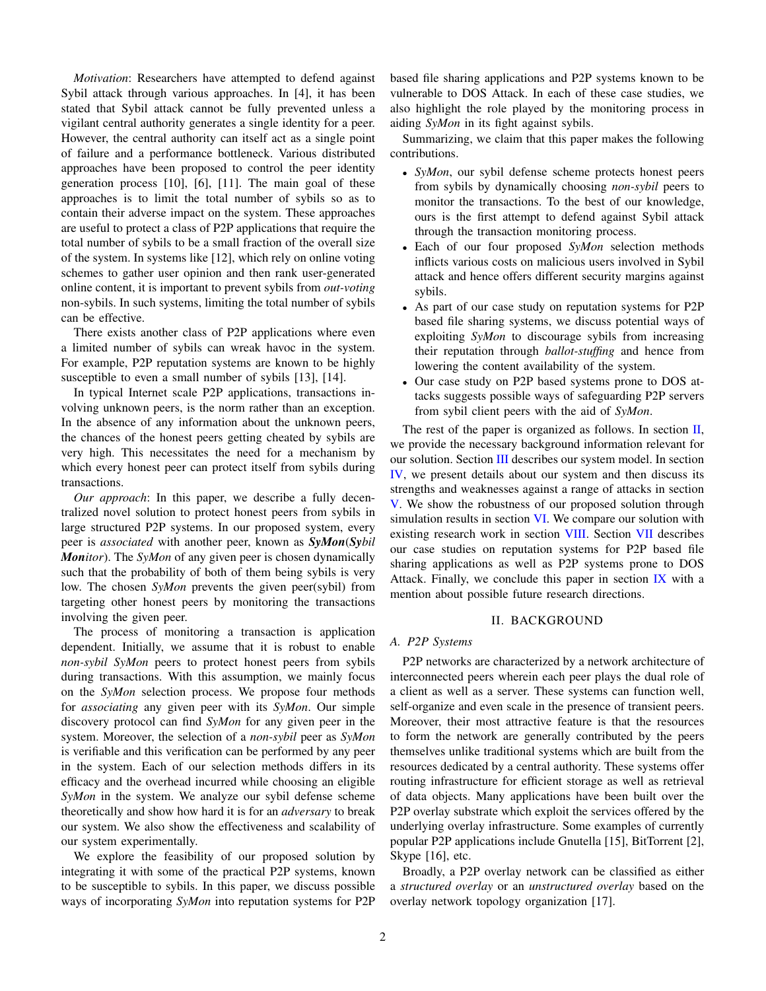*Motivation*: Researchers have attempted to defend against Sybil attack through various approaches. In [4], it has been stated that Sybil attack cannot be fully prevented unless a vigilant central authority generates a single identity for a peer. However, the central authority can itself act as a single point of failure and a performance bottleneck. Various distributed approaches have been proposed to control the peer identity generation process [10], [6], [11]. The main goal of these approaches is to limit the total number of sybils so as to contain their adverse impact on the system. These approaches are useful to protect a class of P2P applications that require the total number of sybils to be a small fraction of the overall size of the system. In systems like [12], which rely on online voting schemes to gather user opinion and then rank user-generated online content, it is important to prevent sybils from *out-voting* non-sybils. In such systems, limiting the total number of sybils can be effective.

There exists another class of P2P applications where even a limited number of sybils can wreak havoc in the system. For example, P2P reputation systems are known to be highly susceptible to even a small number of sybils [13], [14].

In typical Internet scale P2P applications, transactions involving unknown peers, is the norm rather than an exception. In the absence of any information about the unknown peers, the chances of the honest peers getting cheated by sybils are very high. This necessitates the need for a mechanism by which every honest peer can protect itself from sybils during transactions.

*Our approach*: In this paper, we describe a fully decentralized novel solution to protect honest peers from sybils in large structured P2P systems. In our proposed system, every peer is *associated* with another peer, known as *SyMon*(*Sybil Monitor*). The *SyMon* of any given peer is chosen dynamically such that the probability of both of them being sybils is very low. The chosen *SyMon* prevents the given peer(sybil) from targeting other honest peers by monitoring the transactions involving the given peer.

The process of monitoring a transaction is application dependent. Initially, we assume that it is robust to enable *non-sybil SyMon* peers to protect honest peers from sybils during transactions. With this assumption, we mainly focus on the *SyMon* selection process. We propose four methods for *associating* any given peer with its *SyMon*. Our simple discovery protocol can find *SyMon* for any given peer in the system. Moreover, the selection of a *non-sybil* peer as *SyMon* is verifiable and this verification can be performed by any peer in the system. Each of our selection methods differs in its efficacy and the overhead incurred while choosing an eligible *SyMon* in the system. We analyze our sybil defense scheme theoretically and show how hard it is for an *adversary* to break our system. We also show the effectiveness and scalability of our system experimentally.

We explore the feasibility of our proposed solution by integrating it with some of the practical P2P systems, known to be susceptible to sybils. In this paper, we discuss possible ways of incorporating *SyMon* into reputation systems for P2P based file sharing applications and P2P systems known to be vulnerable to DOS Attack. In each of these case studies, we also highlight the role played by the monitoring process in aiding *SyMon* in its fight against sybils.

Summarizing, we claim that this paper makes the following contributions.

- *SyMon*, our sybil defense scheme protects honest peers from sybils by dynamically choosing *non-sybil* peers to monitor the transactions. To the best of our knowledge, ours is the first attempt to defend against Sybil attack through the transaction monitoring process.
- Each of our four proposed *SyMon* selection methods inflicts various costs on malicious users involved in Sybil attack and hence offers different security margins against sybils.
- As part of our case study on reputation systems for P2P based file sharing systems, we discuss potential ways of exploiting *SyMon* to discourage sybils from increasing their reputation through *ballot-stuffing* and hence from lowering the content availability of the system.
- Our case study on P2P based systems prone to DOS attacks suggests possible ways of safeguarding P2P servers from sybil client peers with the aid of *SyMon*.

The rest of the paper is organized as follows. In section  $II$ , we provide the necessary background information relevant for our solution. Section [III](#page-2-0) describes our system model. In section [IV,](#page-3-0) we present details about our system and then discuss its strengths and weaknesses against a range of attacks in section [V.](#page-6-0) We show the robustness of our proposed solution through simulation results in section [VI.](#page-8-0) We compare our solution with existing research work in section [VIII.](#page-13-0) Section [VII](#page-11-0) describes our case studies on reputation systems for P2P based file sharing applications as well as P2P systems prone to DOS Attack. Finally, we conclude this paper in section  $IX$  with a mention about possible future research directions.

# II. BACKGROUND

# <span id="page-1-0"></span>*A. P2P Systems*

P2P networks are characterized by a network architecture of interconnected peers wherein each peer plays the dual role of a client as well as a server. These systems can function well, self-organize and even scale in the presence of transient peers. Moreover, their most attractive feature is that the resources to form the network are generally contributed by the peers themselves unlike traditional systems which are built from the resources dedicated by a central authority. These systems offer routing infrastructure for efficient storage as well as retrieval of data objects. Many applications have been built over the P2P overlay substrate which exploit the services offered by the underlying overlay infrastructure. Some examples of currently popular P2P applications include Gnutella [15], BitTorrent [2], Skype [16], etc.

Broadly, a P2P overlay network can be classified as either a *structured overlay* or an *unstructured overlay* based on the overlay network topology organization [17].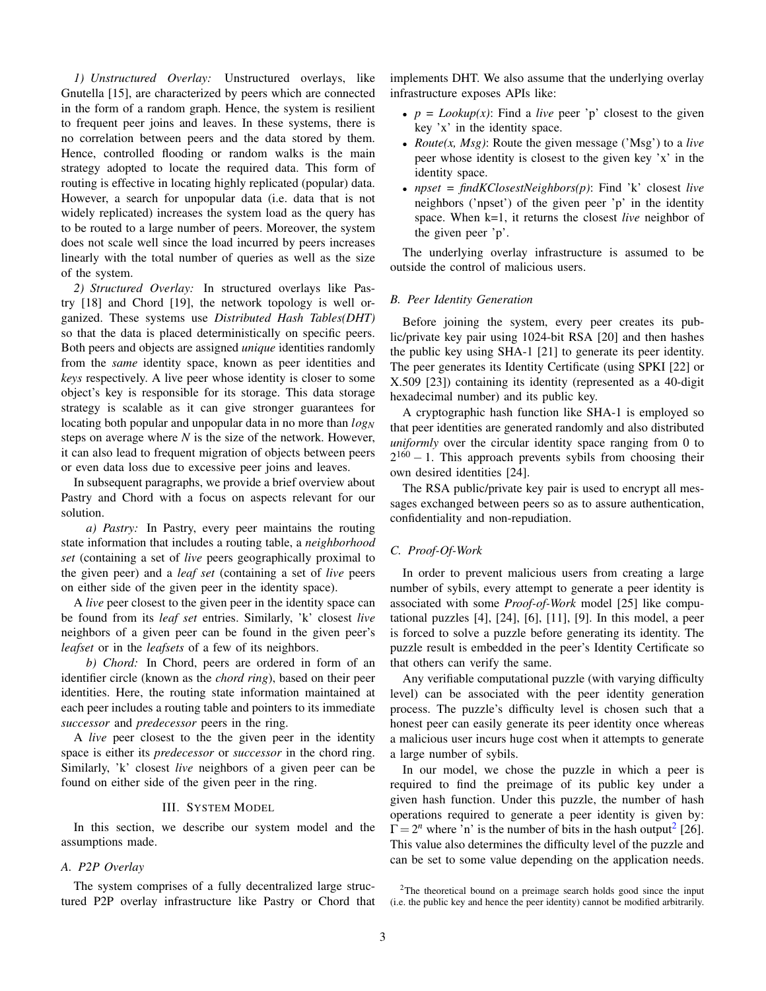*1) Unstructured Overlay:* Unstructured overlays, like Gnutella [15], are characterized by peers which are connected in the form of a random graph. Hence, the system is resilient to frequent peer joins and leaves. In these systems, there is no correlation between peers and the data stored by them. Hence, controlled flooding or random walks is the main strategy adopted to locate the required data. This form of routing is effective in locating highly replicated (popular) data. However, a search for unpopular data (i.e. data that is not widely replicated) increases the system load as the query has to be routed to a large number of peers. Moreover, the system does not scale well since the load incurred by peers increases linearly with the total number of queries as well as the size of the system.

<span id="page-2-5"></span>*2) Structured Overlay:* In structured overlays like Pastry [18] and Chord [19], the network topology is well organized. These systems use *Distributed Hash Tables(DHT)* so that the data is placed deterministically on specific peers. Both peers and objects are assigned *unique* identities randomly from the *same* identity space, known as peer identities and *keys* respectively. A live peer whose identity is closer to some object's key is responsible for its storage. This data storage strategy is scalable as it can give stronger guarantees for locating both popular and unpopular data in no more than  $log_N$ steps on average where *N* is the size of the network. However, it can also lead to frequent migration of objects between peers or even data loss due to excessive peer joins and leaves.

In subsequent paragraphs, we provide a brief overview about Pastry and Chord with a focus on aspects relevant for our solution.

*a) Pastry:* In Pastry, every peer maintains the routing state information that includes a routing table, a *neighborhood set* (containing a set of *live* peers geographically proximal to the given peer) and a *leaf set* (containing a set of *live* peers on either side of the given peer in the identity space).

A *live* peer closest to the given peer in the identity space can be found from its *leaf set* entries. Similarly, 'k' closest *live* neighbors of a given peer can be found in the given peer's *leafset* or in the *leafsets* of a few of its neighbors.

*b) Chord:* In Chord, peers are ordered in form of an identifier circle (known as the *chord ring*), based on their peer identities. Here, the routing state information maintained at each peer includes a routing table and pointers to its immediate *successor* and *predecessor* peers in the ring.

A *live* peer closest to the the given peer in the identity space is either its *predecessor* or *successor* in the chord ring. Similarly, 'k' closest *live* neighbors of a given peer can be found on either side of the given peer in the ring.

## III. SYSTEM MODEL

<span id="page-2-0"></span>In this section, we describe our system model and the assumptions made.

## <span id="page-2-4"></span>*A. P2P Overlay*

The system comprises of a fully decentralized large structured P2P overlay infrastructure like Pastry or Chord that implements DHT. We also assume that the underlying overlay infrastructure exposes APIs like:

- $p = \text{Lookup}(x)$ : Find a *live* peer 'p' closest to the given key 'x' in the identity space.
- *Route(x, Msg)*: Route the given message ('Msg') to a *live* peer whose identity is closest to the given key 'x' in the identity space.
- *npset = findKClosestNeighbors(p)*: Find 'k' closest *live* neighbors ('npset') of the given peer 'p' in the identity space. When k=1, it returns the closest *live* neighbor of the given peer 'p'.

The underlying overlay infrastructure is assumed to be outside the control of malicious users.

#### <span id="page-2-2"></span>*B. Peer Identity Generation*

Before joining the system, every peer creates its public/private key pair using 1024-bit RSA [20] and then hashes the public key using SHA-1 [21] to generate its peer identity. The peer generates its Identity Certificate (using SPKI [22] or X.509 [23]) containing its identity (represented as a 40-digit hexadecimal number) and its public key.

A cryptographic hash function like SHA-1 is employed so that peer identities are generated randomly and also distributed *uniformly* over the circular identity space ranging from 0 to  $2^{160} - 1$ . This approach prevents sybils from choosing their own desired identities [24].

The RSA public/private key pair is used to encrypt all messages exchanged between peers so as to assure authentication, confidentiality and non-repudiation.

# <span id="page-2-3"></span>*C. Proof-Of-Work*

In order to prevent malicious users from creating a large number of sybils, every attempt to generate a peer identity is associated with some *Proof-of-Work* model [25] like computational puzzles [4], [24], [6], [11], [9]. In this model, a peer is forced to solve a puzzle before generating its identity. The puzzle result is embedded in the peer's Identity Certificate so that others can verify the same.

Any verifiable computational puzzle (with varying difficulty level) can be associated with the peer identity generation process. The puzzle's difficulty level is chosen such that a honest peer can easily generate its peer identity once whereas a malicious user incurs huge cost when it attempts to generate a large number of sybils.

In our model, we chose the puzzle in which a peer is required to find the preimage of its public key under a given hash function. Under this puzzle, the number of hash operations required to generate a peer identity is given by:  $\Gamma = 2^n$  $\Gamma = 2^n$  $\Gamma = 2^n$  where 'n' is the number of bits in the hash output<sup>2</sup> [26]. This value also determines the difficulty level of the puzzle and can be set to some value depending on the application needs.

<span id="page-2-1"></span><sup>&</sup>lt;sup>2</sup>The theoretical bound on a preimage search holds good since the input (i.e. the public key and hence the peer identity) cannot be modified arbitrarily.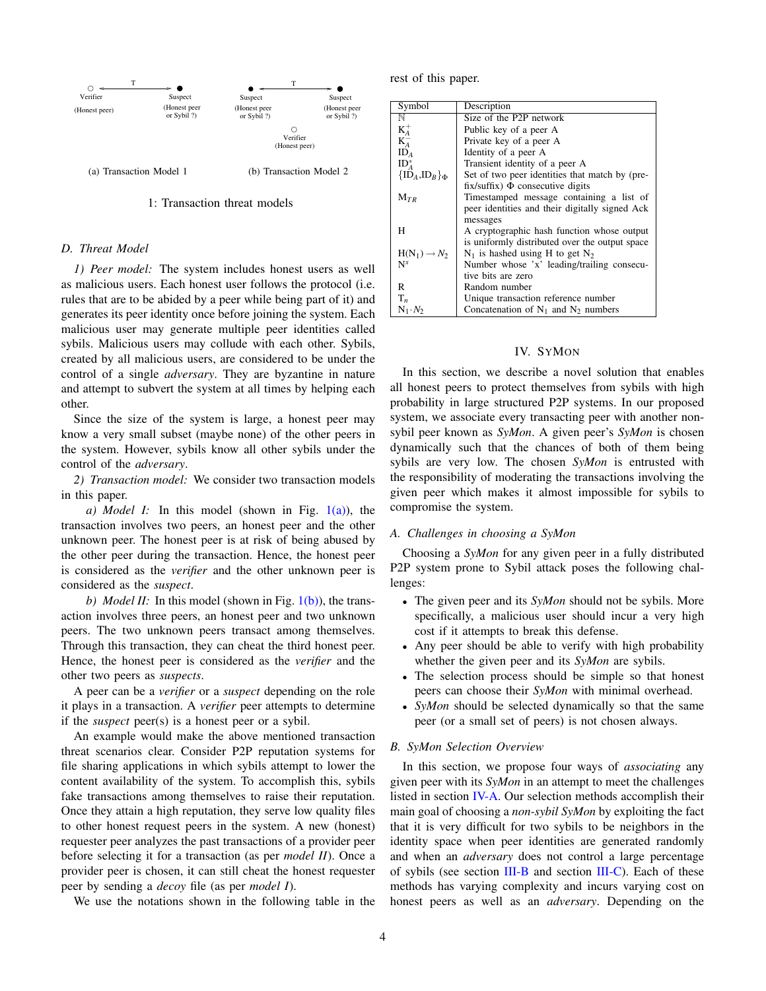<span id="page-3-1"></span>

# <span id="page-3-2"></span>1: Transaction threat models

# *D. Threat Model*

*1) Peer model:* The system includes honest users as well as malicious users. Each honest user follows the protocol (i.e. rules that are to be abided by a peer while being part of it) and generates its peer identity once before joining the system. Each malicious user may generate multiple peer identities called sybils. Malicious users may collude with each other. Sybils, created by all malicious users, are considered to be under the control of a single *adversary*. They are byzantine in nature and attempt to subvert the system at all times by helping each other.

Since the size of the system is large, a honest peer may know a very small subset (maybe none) of the other peers in the system. However, sybils know all other sybils under the control of the *adversary*.

<span id="page-3-4"></span>*2) Transaction model:* We consider two transaction models in this paper.

*a) Model I:* In this model (shown in Fig.  $1(a)$ ), the transaction involves two peers, an honest peer and the other unknown peer. The honest peer is at risk of being abused by the other peer during the transaction. Hence, the honest peer is considered as the *verifier* and the other unknown peer is considered as the *suspect*.

*b) Model II:* In this model (shown in Fig. [1\(b\)\)](#page-3-2), the transaction involves three peers, an honest peer and two unknown peers. The two unknown peers transact among themselves. Through this transaction, they can cheat the third honest peer. Hence, the honest peer is considered as the *verifier* and the other two peers as *suspects*.

A peer can be a *verifier* or a *suspect* depending on the role it plays in a transaction. A *verifier* peer attempts to determine if the *suspect* peer(s) is a honest peer or a sybil.

An example would make the above mentioned transaction threat scenarios clear. Consider P2P reputation systems for file sharing applications in which sybils attempt to lower the content availability of the system. To accomplish this, sybils fake transactions among themselves to raise their reputation. Once they attain a high reputation, they serve low quality files to other honest request peers in the system. A new (honest) requester peer analyzes the past transactions of a provider peer before selecting it for a transaction (as per *model II*). Once a provider peer is chosen, it can still cheat the honest requester peer by sending a *decoy* file (as per *model I*).

We use the notations shown in the following table in the

rest of this paper.

| Symbol                   | Description                                    |
|--------------------------|------------------------------------------------|
| N                        | Size of the P2P network                        |
| $K_A^+$                  | Public key of a peer A                         |
| $K_A^-$                  | Private key of a peer A                        |
| ID <sub>A</sub>          | Identity of a peer A                           |
| $ID4*$                   | Transient identity of a peer A                 |
| ${ID_A, ID_B}$           | Set of two peer identities that match by (pre- |
|                          | $fix/suffix)$ $\Phi$ consecutive digits        |
| $M_{TR}$                 | Timestamped message containing a list of       |
|                          | peer identities and their digitally signed Ack |
|                          | messages                                       |
| H                        | A cryptographic hash function whose output     |
|                          | is uniformly distributed over the output space |
| $H(N_1) \rightarrow N_2$ | $N_1$ is hashed using H to get $N_2$           |
| $N^x$                    | Number whose 'x' leading/trailing consecu-     |
|                          | tive bits are zero                             |
| R                        | Random number                                  |
| $T_n$                    | Unique transaction reference number            |
| $N_1 \cdot N_2$          | Concatenation of $N_1$ and $N_2$ numbers       |

# IV. SYMON

<span id="page-3-0"></span>In this section, we describe a novel solution that enables all honest peers to protect themselves from sybils with high probability in large structured P2P systems. In our proposed system, we associate every transacting peer with another nonsybil peer known as *SyMon*. A given peer's *SyMon* is chosen dynamically such that the chances of both of them being sybils are very low. The chosen *SyMon* is entrusted with the responsibility of moderating the transactions involving the given peer which makes it almost impossible for sybils to compromise the system.

#### <span id="page-3-3"></span>*A. Challenges in choosing a SyMon*

Choosing a *SyMon* for any given peer in a fully distributed P2P system prone to Sybil attack poses the following challenges:

- The given peer and its *SyMon* should not be sybils. More specifically, a malicious user should incur a very high cost if it attempts to break this defense.
- Any peer should be able to verify with high probability whether the given peer and its *SyMon* are sybils.
- The selection process should be simple so that honest peers can choose their *SyMon* with minimal overhead.
- *SyMon* should be selected dynamically so that the same peer (or a small set of peers) is not chosen always.

#### *B. SyMon Selection Overview*

In this section, we propose four ways of *associating* any given peer with its *SyMon* in an attempt to meet the challenges listed in section [IV-A.](#page-3-3) Our selection methods accomplish their main goal of choosing a *non-sybil SyMon* by exploiting the fact that it is very difficult for two sybils to be neighbors in the identity space when peer identities are generated randomly and when an *adversary* does not control a large percentage of sybils (see section [III-B](#page-2-2) and section [III-C\)](#page-2-3). Each of these methods has varying complexity and incurs varying cost on honest peers as well as an *adversary*. Depending on the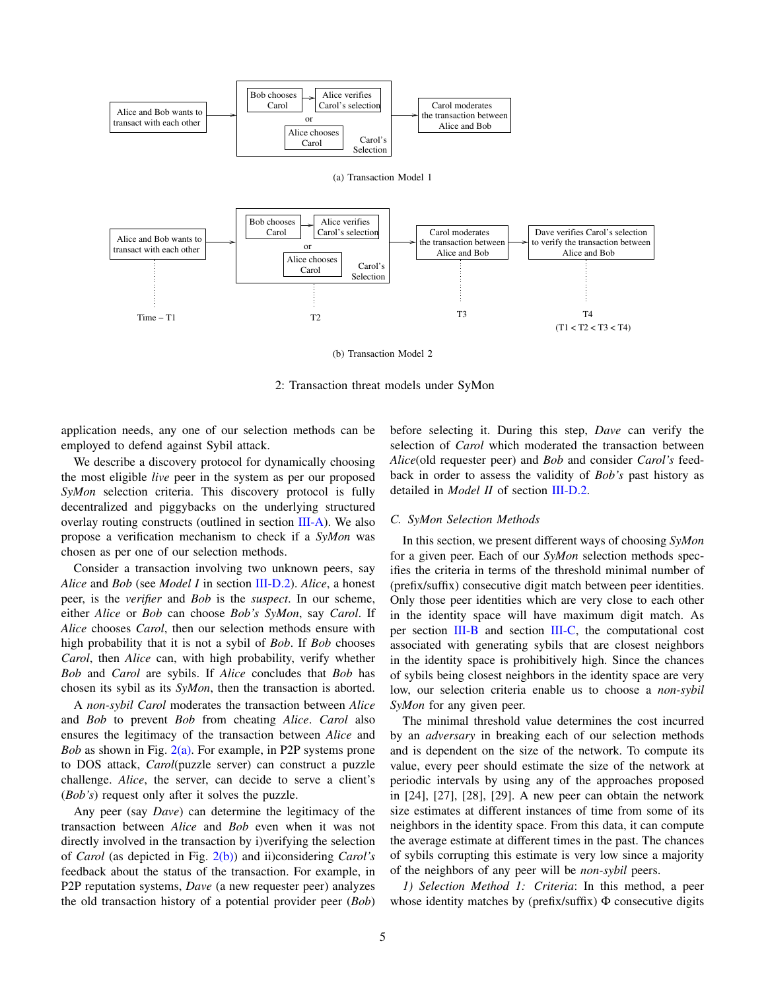<span id="page-4-1"></span><span id="page-4-0"></span>

(b) Transaction Model 2

2: Transaction threat models under SyMon

application needs, any one of our selection methods can be employed to defend against Sybil attack.

We describe a discovery protocol for dynamically choosing the most eligible *live* peer in the system as per our proposed *SyMon* selection criteria. This discovery protocol is fully decentralized and piggybacks on the underlying structured overlay routing constructs (outlined in section [III-A\)](#page-2-4). We also propose a verification mechanism to check if a *SyMon* was chosen as per one of our selection methods.

Consider a transaction involving two unknown peers, say *Alice* and *Bob* (see *Model I* in section [III-D.2\)](#page-3-4). *Alice*, a honest peer, is the *verifier* and *Bob* is the *suspect*. In our scheme, either *Alice* or *Bob* can choose *Bob's SyMon*, say *Carol*. If *Alice* chooses *Carol*, then our selection methods ensure with high probability that it is not a sybil of *Bob*. If *Bob* chooses *Carol*, then *Alice* can, with high probability, verify whether *Bob* and *Carol* are sybils. If *Alice* concludes that *Bob* has chosen its sybil as its *SyMon*, then the transaction is aborted.

A *non-sybil Carol* moderates the transaction between *Alice* and *Bob* to prevent *Bob* from cheating *Alice*. *Carol* also ensures the legitimacy of the transaction between *Alice* and *Bob* as shown in Fig. [2\(a\).](#page-4-0) For example, in P2P systems prone to DOS attack, *Carol*(puzzle server) can construct a puzzle challenge. *Alice*, the server, can decide to serve a client's (*Bob's*) request only after it solves the puzzle.

Any peer (say *Dave*) can determine the legitimacy of the transaction between *Alice* and *Bob* even when it was not directly involved in the transaction by i)verifying the selection of *Carol* (as depicted in Fig. [2\(b\)\)](#page-4-1) and ii)considering *Carol's* feedback about the status of the transaction. For example, in P2P reputation systems, *Dave* (a new requester peer) analyzes the old transaction history of a potential provider peer (*Bob*)

before selecting it. During this step, *Dave* can verify the selection of *Carol* which moderated the transaction between *Alice*(old requester peer) and *Bob* and consider *Carol's* feedback in order to assess the validity of *Bob's* past history as detailed in *Model II* of section [III-D.2.](#page-3-4)

## <span id="page-4-3"></span>*C. SyMon Selection Methods*

In this section, we present different ways of choosing *SyMon* for a given peer. Each of our *SyMon* selection methods specifies the criteria in terms of the threshold minimal number of (prefix/suffix) consecutive digit match between peer identities. Only those peer identities which are very close to each other in the identity space will have maximum digit match. As per section [III-B](#page-2-2) and section [III-C,](#page-2-3) the computational cost associated with generating sybils that are closest neighbors in the identity space is prohibitively high. Since the chances of sybils being closest neighbors in the identity space are very low, our selection criteria enable us to choose a *non-sybil SyMon* for any given peer.

The minimal threshold value determines the cost incurred by an *adversary* in breaking each of our selection methods and is dependent on the size of the network. To compute its value, every peer should estimate the size of the network at periodic intervals by using any of the approaches proposed in [24], [27], [28], [29]. A new peer can obtain the network size estimates at different instances of time from some of its neighbors in the identity space. From this data, it can compute the average estimate at different times in the past. The chances of sybils corrupting this estimate is very low since a majority of the neighbors of any peer will be *non-sybil* peers.

<span id="page-4-2"></span>*1) Selection Method 1: Criteria*: In this method, a peer whose identity matches by (prefix/suffix) Φ consecutive digits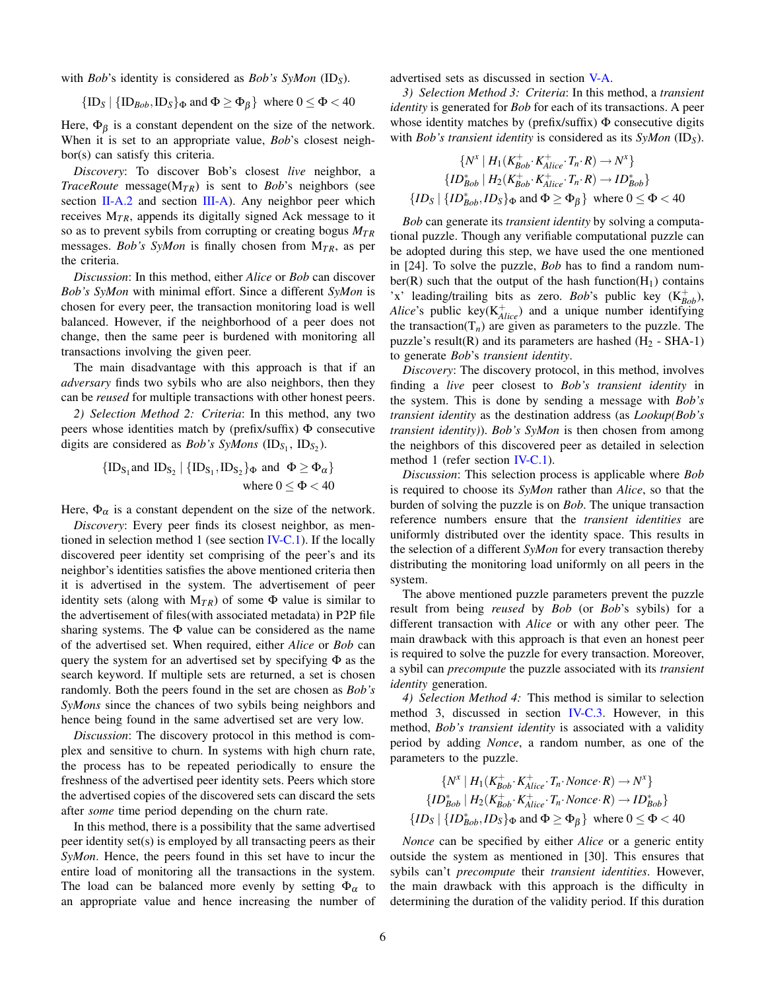with *Bob*'s identity is considered as *Bob's SyMon* (ID*S*).

$$
\{\text{ID}_S \mid \{\text{ID}_{Bob}, \text{ID}_S\}_{\Phi} \text{ and } \Phi \ge \Phi_{\beta}\}\text{ where } 0 \le \Phi < 40
$$

Here,  $\Phi_{\beta}$  is a constant dependent on the size of the network. When it is set to an appropriate value, *Bob*'s closest neighbor(s) can satisfy this criteria.

*Discovery*: To discover Bob's closest *live* neighbor, a *TraceRoute* message( $M_{TR}$ ) is sent to *Bob*'s neighbors (see section [II-A.2](#page-2-5) and section [III-A\)](#page-2-4). Any neighbor peer which receives  $M_{TR}$ , appends its digitally signed Ack message to it so as to prevent sybils from corrupting or creating bogus *MT R* messages. *Bob's SyMon* is finally chosen from M<sub>TR</sub>, as per the criteria.

*Discussion*: In this method, either *Alice* or *Bob* can discover *Bob's SyMon* with minimal effort. Since a different *SyMon* is chosen for every peer, the transaction monitoring load is well balanced. However, if the neighborhood of a peer does not change, then the same peer is burdened with monitoring all transactions involving the given peer.

The main disadvantage with this approach is that if an *adversary* finds two sybils who are also neighbors, then they can be *reused* for multiple transactions with other honest peers.

*2) Selection Method 2: Criteria*: In this method, any two peers whose identities match by ( $prefix/suffix) \Phi$  consecutive digits are considered as *Bob's SyMons* (ID<sub>S<sub>1</sub></sub>, ID<sub>S<sub>2</sub></sub>).

$$
{\{ID_{S_1} \text{and } ID_{S_2} \mid \{ID_{S_1}, ID_{S_2}\}_{\Phi} \text{ and } \Phi \ge \Phi_{\alpha}\}}
$$
  
where  $0 \le \Phi < 40$ 

Here,  $\Phi_{\alpha}$  is a constant dependent on the size of the network.

*Discovery*: Every peer finds its closest neighbor, as mentioned in selection method 1 (see section  $IV-C.1$ ). If the locally discovered peer identity set comprising of the peer's and its neighbor's identities satisfies the above mentioned criteria then it is advertised in the system. The advertisement of peer identity sets (along with  $M_{TR}$ ) of some  $\Phi$  value is similar to the advertisement of files(with associated metadata) in P2P file sharing systems. The  $\Phi$  value can be considered as the name of the advertised set. When required, either *Alice* or *Bob* can query the system for an advertised set by specifying  $\Phi$  as the search keyword. If multiple sets are returned, a set is chosen randomly. Both the peers found in the set are chosen as *Bob's SyMons* since the chances of two sybils being neighbors and hence being found in the same advertised set are very low.

*Discussion*: The discovery protocol in this method is complex and sensitive to churn. In systems with high churn rate, the process has to be repeated periodically to ensure the freshness of the advertised peer identity sets. Peers which store the advertised copies of the discovered sets can discard the sets after *some* time period depending on the churn rate.

In this method, there is a possibility that the same advertised peer identity set(s) is employed by all transacting peers as their *SyMon*. Hence, the peers found in this set have to incur the entire load of monitoring all the transactions in the system. The load can be balanced more evenly by setting  $\Phi_{\alpha}$  to an appropriate value and hence increasing the number of advertised sets as discussed in section [V-A.](#page-6-1)

<span id="page-5-0"></span>*3) Selection Method 3: Criteria*: In this method, a *transient identity* is generated for *Bob* for each of its transactions. A peer whose identity matches by (prefix/suffix) Φ consecutive digits with *Bob's transient identity* is considered as its *SyMon* (ID*S*).

$$
\{N^x \mid H_1(K_{Bob}^+, K_{Alice}^+, T_n \cdot R) \to N^x\}
$$
  

$$
\{ID_{Bob}^* \mid H_2(K_{Bob}^+, K_{Alice}^+, T_n \cdot R) \to ID_{Bob}^*\}
$$
  

$$
\{ID_S \mid \{ID_{Bob}^*, ID_S\}_{\Phi} \text{ and } \Phi \ge \Phi_{\beta}\} \text{ where } 0 \le \Phi < 40
$$

*Bob* can generate its *transient identity* by solving a computational puzzle. Though any verifiable computational puzzle can be adopted during this step, we have used the one mentioned in [24]. To solve the puzzle, *Bob* has to find a random number(R) such that the output of the hash function( $H_1$ ) contains 'x' leading/trailing bits as zero. *Bob*'s public key  $(K_{Bob}^+)$ , *Alice*'s public key $(K_{Alice}^+)$  and a unique number identifying the transaction( $T_n$ ) are given as parameters to the puzzle. The puzzle's result(R) and its parameters are hashed  $(H_2 - SHA-1)$ to generate *Bob*'s *transient identity*.

*Discovery*: The discovery protocol, in this method, involves finding a *live* peer closest to *Bob's transient identity* in the system. This is done by sending a message with *Bob's transient identity* as the destination address (as *Lookup(Bob's transient identity)*). *Bob's SyMon* is then chosen from among the neighbors of this discovered peer as detailed in selection method 1 (refer section [IV-C.1\)](#page-4-2).

*Discussion*: This selection process is applicable where *Bob* is required to choose its *SyMon* rather than *Alice*, so that the burden of solving the puzzle is on *Bob*. The unique transaction reference numbers ensure that the *transient identities* are uniformly distributed over the identity space. This results in the selection of a different *SyMon* for every transaction thereby distributing the monitoring load uniformly on all peers in the system.

The above mentioned puzzle parameters prevent the puzzle result from being *reused* by *Bob* (or *Bob*'s sybils) for a different transaction with *Alice* or with any other peer. The main drawback with this approach is that even an honest peer is required to solve the puzzle for every transaction. Moreover, a sybil can *precompute* the puzzle associated with its *transient identity* generation.

*4) Selection Method 4:* This method is similar to selection method 3, discussed in section [IV-C.3.](#page-5-0) However, in this method, *Bob's transient identity* is associated with a validity period by adding *Nonce*, a random number, as one of the parameters to the puzzle.

$$
\{N^x \mid H_1(K_{Bob}^+, K_{Alice}^+, T_n \cdot None \in R) \to N^x\}
$$
  

$$
\{ID_{Bob}^* \mid H_2(K_{Bob}^+, K_{Alice}^+, T_n \cdot None \in R) \to ID_{Bob}^*\}
$$
  

$$
\{ID_S \mid \{ID_{Bob}^*, ID_S\}_{\Phi} \text{ and } \Phi \ge \Phi_{\beta}\} \text{ where } 0 \le \Phi < 40
$$

*Nonce* can be specified by either *Alice* or a generic entity outside the system as mentioned in [30]. This ensures that sybils can't *precompute* their *transient identities*. However, the main drawback with this approach is the difficulty in determining the duration of the validity period. If this duration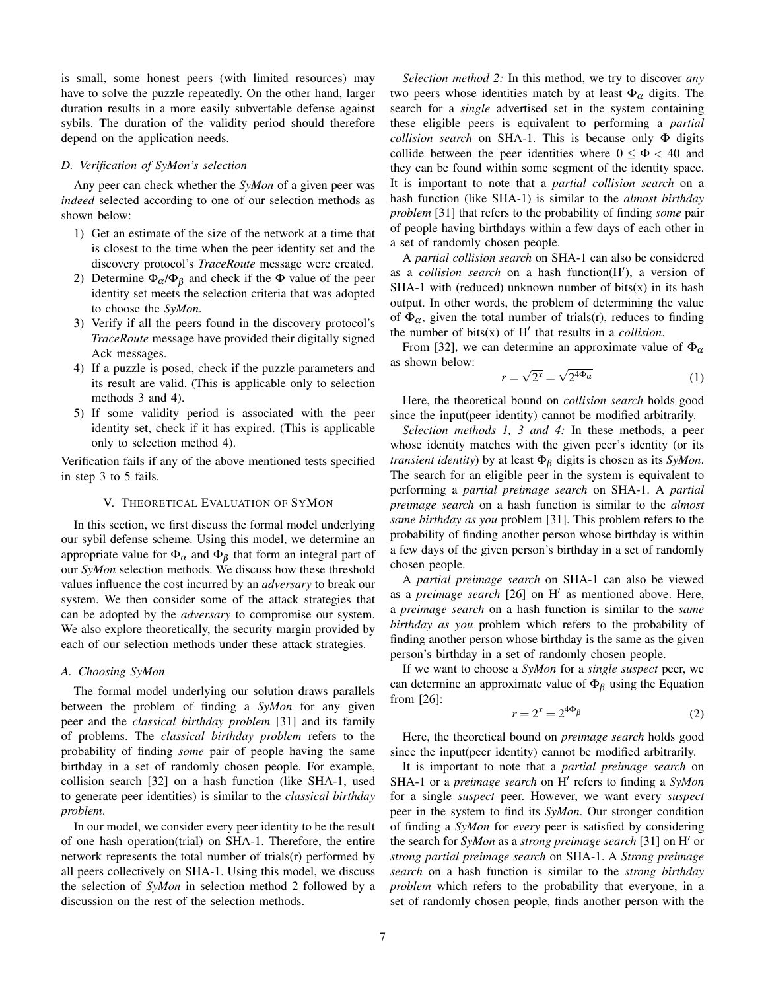is small, some honest peers (with limited resources) may have to solve the puzzle repeatedly. On the other hand, larger duration results in a more easily subvertable defense against sybils. The duration of the validity period should therefore depend on the application needs.

# <span id="page-6-4"></span>*D. Verification of SyMon's selection*

Any peer can check whether the *SyMon* of a given peer was *indeed* selected according to one of our selection methods as shown below:

- 1) Get an estimate of the size of the network at a time that is closest to the time when the peer identity set and the discovery protocol's *TraceRoute* message were created.
- 2) Determine  $\Phi_{\alpha}/\Phi_{\beta}$  and check if the  $\Phi$  value of the peer identity set meets the selection criteria that was adopted to choose the *SyMon*.
- 3) Verify if all the peers found in the discovery protocol's *TraceRoute* message have provided their digitally signed Ack messages.
- 4) If a puzzle is posed, check if the puzzle parameters and its result are valid. (This is applicable only to selection methods 3 and 4).
- 5) If some validity period is associated with the peer identity set, check if it has expired. (This is applicable only to selection method 4).

Verification fails if any of the above mentioned tests specified in step 3 to 5 fails.

#### V. THEORETICAL EVALUATION OF SYMON

<span id="page-6-0"></span>In this section, we first discuss the formal model underlying our sybil defense scheme. Using this model, we determine an appropriate value for  $\Phi_{\alpha}$  and  $\Phi_{\beta}$  that form an integral part of our *SyMon* selection methods. We discuss how these threshold values influence the cost incurred by an *adversary* to break our system. We then consider some of the attack strategies that can be adopted by the *adversary* to compromise our system. We also explore theoretically, the security margin provided by each of our selection methods under these attack strategies.

## <span id="page-6-1"></span>*A. Choosing SyMon*

The formal model underlying our solution draws parallels between the problem of finding a *SyMon* for any given peer and the *classical birthday problem* [31] and its family of problems. The *classical birthday problem* refers to the probability of finding *some* pair of people having the same birthday in a set of randomly chosen people. For example, collision search [32] on a hash function (like SHA-1, used to generate peer identities) is similar to the *classical birthday problem*.

In our model, we consider every peer identity to be the result of one hash operation(trial) on SHA-1. Therefore, the entire network represents the total number of trials(r) performed by all peers collectively on SHA-1. Using this model, we discuss the selection of *SyMon* in selection method 2 followed by a discussion on the rest of the selection methods.

*Selection method 2:* In this method, we try to discover *any* two peers whose identities match by at least  $\Phi_{\alpha}$  digits. The search for a *single* advertised set in the system containing these eligible peers is equivalent to performing a *partial collision search* on SHA-1. This is because only Φ digits collide between the peer identities where  $0 \le \Phi < 40$  and they can be found within some segment of the identity space. It is important to note that a *partial collision search* on a hash function (like SHA-1) is similar to the *almost birthday problem* [31] that refers to the probability of finding *some* pair of people having birthdays within a few days of each other in a set of randomly chosen people.

A *partial collision search* on SHA-1 can also be considered as a *collision search* on a hash function(H'), a version of SHA-1 with (reduced) unknown number of bits $(x)$  in its hash output. In other words, the problem of determining the value of  $\Phi_{\alpha}$ , given the total number of trials(r), reduces to finding the number of bits $(x)$  of  $H'$  that results in a *collision*.

From [32], we can determine an approximate value of  $\Phi_{\alpha}$ as shown below: √ √

<span id="page-6-2"></span>
$$
r = \sqrt{2^x} = \sqrt{2^{4\Phi_{\alpha}}}
$$
 (1)

Here, the theoretical bound on *collision search* holds good since the input(peer identity) cannot be modified arbitrarily.

*Selection methods 1, 3 and 4:* In these methods, a peer whose identity matches with the given peer's identity (or its *transient identity*) by at least Φ<sup>β</sup> digits is chosen as its *SyMon*. The search for an eligible peer in the system is equivalent to performing a *partial preimage search* on SHA-1. A *partial preimage search* on a hash function is similar to the *almost same birthday as you* problem [31]. This problem refers to the probability of finding another person whose birthday is within a few days of the given person's birthday in a set of randomly chosen people.

A *partial preimage search* on SHA-1 can also be viewed as a *preimage search* [26] on H' as mentioned above. Here, a *preimage search* on a hash function is similar to the *same birthday as you* problem which refers to the probability of finding another person whose birthday is the same as the given person's birthday in a set of randomly chosen people.

If we want to choose a *SyMon* for a *single suspect* peer, we can determine an approximate value of  $\Phi_{\beta}$  using the Equation from [26]:

<span id="page-6-3"></span>
$$
r = 2^x = 2^{4\Phi} \beta \tag{2}
$$

Here, the theoretical bound on *preimage search* holds good since the input(peer identity) cannot be modified arbitrarily.

It is important to note that a *partial preimage search* on SHA-1 or a *preimage search* on H' refers to finding a *SyMon* for a single *suspect* peer. However, we want every *suspect* peer in the system to find its *SyMon*. Our stronger condition of finding a *SyMon* for *every* peer is satisfied by considering the search for *SyMon* as a *strong preimage search* [31] on H' or *strong partial preimage search* on SHA-1. A *Strong preimage search* on a hash function is similar to the *strong birthday problem* which refers to the probability that everyone, in a set of randomly chosen people, finds another person with the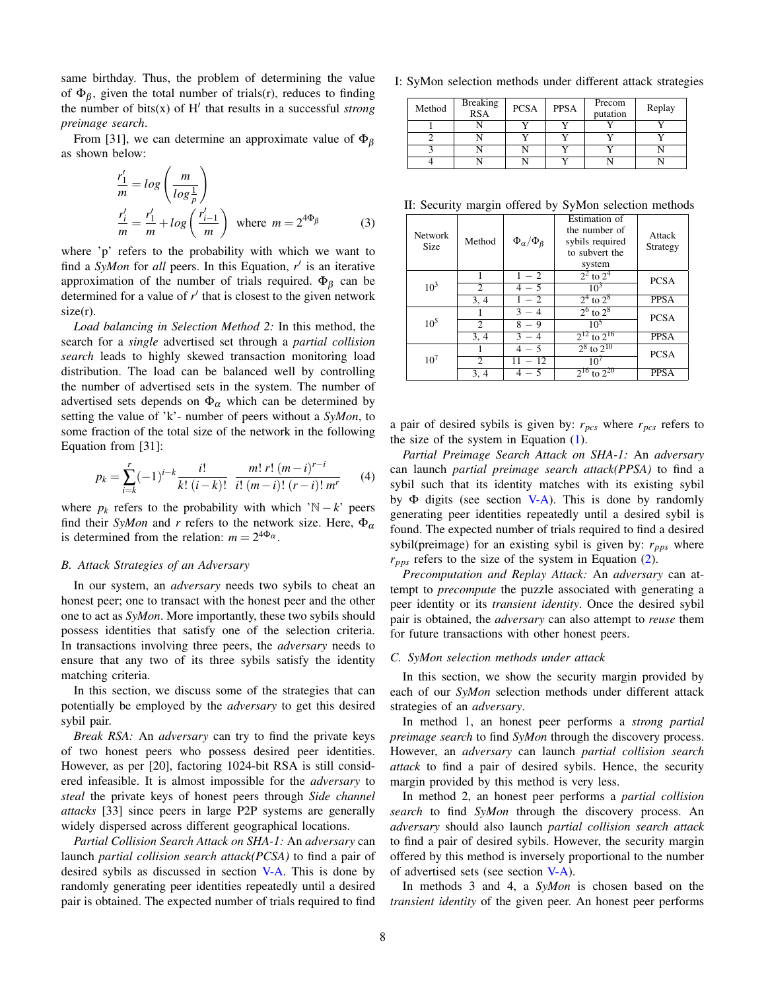same birthday. Thus, the problem of determining the value of  $\Phi_{\beta}$ , given the total number of trials(r), reduces to finding the number of bits $(x)$  of  $H'$  that results in a successful *strong preimage search*.

From [31], we can determine an approximate value of  $\Phi_{\beta}$ as shown below:

$$
\frac{r'_1}{m} = \log\left(\frac{m}{\log\frac{1}{p}}\right)
$$
  

$$
\frac{r'_i}{m} = \frac{r'_1}{m} + \log\left(\frac{r'_{i-1}}{m}\right) \text{ where } m = 2^{4\Phi_{\beta}}
$$
 (3)

where 'p' refers to the probability with which we want to find a  $SyMon$  for *all* peers. In this Equation,  $r'$  is an iterative approximation of the number of trials required.  $\Phi_B$  can be determined for a value of  $r'$  that is closest to the given network  $size(r)$ .

*Load balancing in Selection Method 2:* In this method, the search for a *single* advertised set through a *partial collision search* leads to highly skewed transaction monitoring load distribution. The load can be balanced well by controlling the number of advertised sets in the system. The number of advertised sets depends on  $\Phi_{\alpha}$  which can be determined by setting the value of 'k'- number of peers without a *SyMon*, to some fraction of the total size of the network in the following Equation from [31]:

$$
p_k = \sum_{i=k}^r (-1)^{i-k} \frac{i!}{k! \ (i-k)!} \ \frac{m! \ r! \ (m-i)^{r-i}}{i! \ (m-i)! \ (r-i)! \ m^r} \tag{4}
$$

where  $p_k$  refers to the probability with which 'N − *k*' peers find their *SyMon* and *r* refers to the network size. Here,  $\Phi_{\alpha}$ is determined from the relation:  $m = 2^{4\Phi_{\alpha}}$ .

# *B. Attack Strategies of an Adversary*

In our system, an *adversary* needs two sybils to cheat an honest peer; one to transact with the honest peer and the other one to act as *SyMon*. More importantly, these two sybils should possess identities that satisfy one of the selection criteria. In transactions involving three peers, the *adversary* needs to ensure that any two of its three sybils satisfy the identity matching criteria.

In this section, we discuss some of the strategies that can potentially be employed by the *adversary* to get this desired sybil pair.

*Break RSA:* An *adversary* can try to find the private keys of two honest peers who possess desired peer identities. However, as per [20], factoring 1024-bit RSA is still considered infeasible. It is almost impossible for the *adversary* to *steal* the private keys of honest peers through *Side channel attacks* [33] since peers in large P2P systems are generally widely dispersed across different geographical locations.

*Partial Collision Search Attack on SHA-1:* An *adversary* can launch *partial collision search attack(PCSA)* to find a pair of desired sybils as discussed in section [V-A.](#page-6-1) This is done by randomly generating peer identities repeatedly until a desired pair is obtained. The expected number of trials required to find <span id="page-7-0"></span>I: SyMon selection methods under different attack strategies

| Method | <b>Breaking</b><br><b>RSA</b> | <b>PCSA</b> | <b>PPSA</b> | Precom<br>putation | Replay |
|--------|-------------------------------|-------------|-------------|--------------------|--------|
|        |                               |             |             |                    |        |
|        |                               |             |             |                    |        |
|        |                               |             |             |                    |        |
|        |                               |             |             |                    |        |

<span id="page-7-1"></span>II: Security margin offered by SyMon selection methods

<span id="page-7-2"></span>

| <b>Network</b><br>Size | Method                 | $\Phi_\alpha/\Phi_\beta$ | Estimation of<br>the number of<br>sybils required<br>to subvert the<br>system | Attack<br>Strategy |  |
|------------------------|------------------------|--------------------------|-------------------------------------------------------------------------------|--------------------|--|
| $10^3$                 | 1<br>$\mathfrak{D}$    | $1 - 2$<br>$4 - 5$       | $2^2$ to $2^4$<br>$10^3$                                                      | <b>PCSA</b>        |  |
|                        | 3, 4                   | $1 - 2$                  | $2^4$ to $2^8$                                                                | <b>PPSA</b>        |  |
| $10^{5}$               |                        | $3 - 4$                  | $2^6$ to $2^8$                                                                | <b>PCSA</b>        |  |
|                        | $\overline{c}$<br>3, 4 | $8 - 9$<br>$3 - 4$       | 10 <sup>5</sup><br>$2^{12}$ to $2^{16}$                                       | <b>PPSA</b>        |  |
| $10^{7}$               |                        | $4 - 5$                  | $2^8$ to $2^{10}$                                                             | <b>PCSA</b>        |  |
|                        | $\mathfrak{D}$         | $11 - 12$                | 10 <sup>7</sup>                                                               |                    |  |
|                        | 3, 4                   | $4 - 5$                  | $2^{16}$ to $2^{20}$                                                          | <b>PPSA</b>        |  |

a pair of desired sybils is given by: *rpcs* where *rpcs* refers to the size of the system in Equation [\(1\)](#page-6-2).

*Partial Preimage Search Attack on SHA-1:* An *adversary* can launch *partial preimage search attack(PPSA)* to find a sybil such that its identity matches with its existing sybil by  $\Phi$  digits (see section [V-A\)](#page-6-1). This is done by randomly generating peer identities repeatedly until a desired sybil is found. The expected number of trials required to find a desired sybil(preimage) for an existing sybil is given by:  $r_{pps}$  where *rpps* refers to the size of the system in Equation [\(2\)](#page-6-3).

*Precomputation and Replay Attack:* An *adversary* can attempt to *precompute* the puzzle associated with generating a peer identity or its *transient identity*. Once the desired sybil pair is obtained, the *adversary* can also attempt to *reuse* them for future transactions with other honest peers.

#### *C. SyMon selection methods under attack*

In this section, we show the security margin provided by each of our *SyMon* selection methods under different attack strategies of an *adversary*.

In method 1, an honest peer performs a *strong partial preimage search* to find *SyMon* through the discovery process. However, an *adversary* can launch *partial collision search attack* to find a pair of desired sybils. Hence, the security margin provided by this method is very less.

In method 2, an honest peer performs a *partial collision search* to find *SyMon* through the discovery process. An *adversary* should also launch *partial collision search attack* to find a pair of desired sybils. However, the security margin offered by this method is inversely proportional to the number of advertised sets (see section [V-A\)](#page-6-1).

In methods 3 and 4, a *SyMon* is chosen based on the *transient identity* of the given peer. An honest peer performs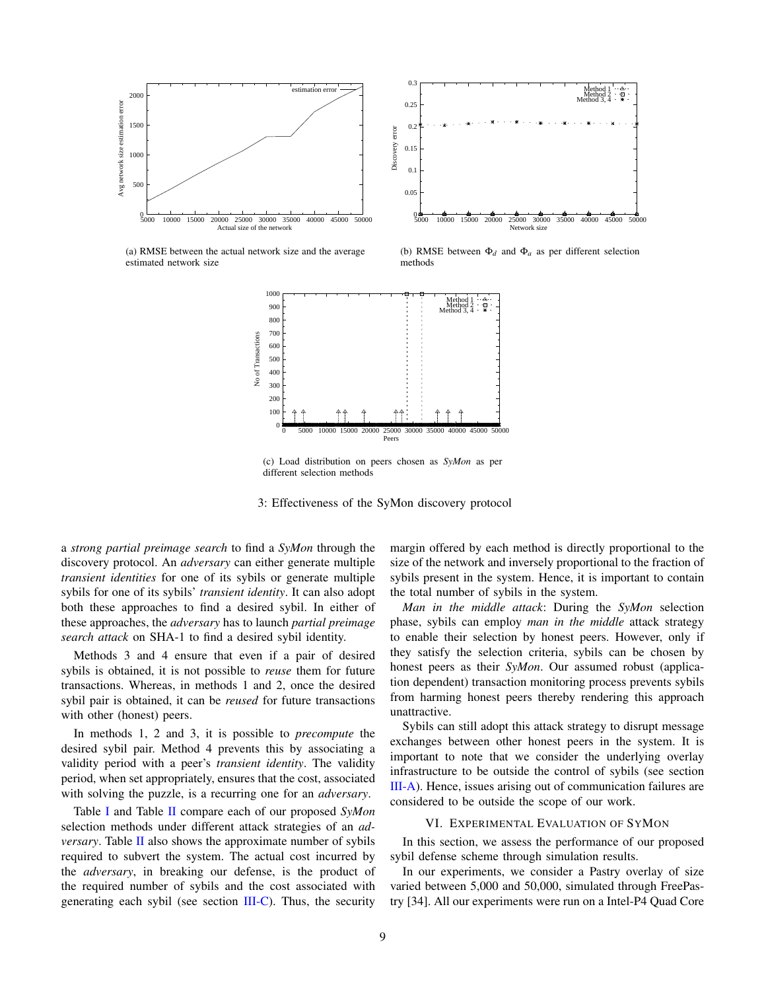<span id="page-8-1"></span>

(a) RMSE between the actual network size and the average estimated network size

<span id="page-8-2"></span>(b) RMSE between  $\Phi_d$  and  $\Phi_a$  as per different selection methods



<span id="page-8-3"></span>(c) Load distribution on peers chosen as *SyMon* as per different selection methods

3: Effectiveness of the SyMon discovery protocol

a *strong partial preimage search* to find a *SyMon* through the discovery protocol. An *adversary* can either generate multiple *transient identities* for one of its sybils or generate multiple sybils for one of its sybils' *transient identity*. It can also adopt both these approaches to find a desired sybil. In either of these approaches, the *adversary* has to launch *partial preimage search attack* on SHA-1 to find a desired sybil identity.

Methods 3 and 4 ensure that even if a pair of desired sybils is obtained, it is not possible to *reuse* them for future transactions. Whereas, in methods 1 and 2, once the desired sybil pair is obtained, it can be *reused* for future transactions with other (honest) peers.

In methods 1, 2 and 3, it is possible to *precompute* the desired sybil pair. Method 4 prevents this by associating a validity period with a peer's *transient identity*. The validity period, when set appropriately, ensures that the cost, associated with solving the puzzle, is a recurring one for an *adversary*.

Table [I](#page-7-0) and Table [II](#page-7-1) compare each of our proposed *SyMon* selection methods under different attack strategies of an *adversary*. Table [II](#page-7-1) also shows the approximate number of sybils required to subvert the system. The actual cost incurred by the *adversary*, in breaking our defense, is the product of the required number of sybils and the cost associated with generating each sybil (see section [III-C\)](#page-2-3). Thus, the security margin offered by each method is directly proportional to the size of the network and inversely proportional to the fraction of sybils present in the system. Hence, it is important to contain the total number of sybils in the system.

*Man in the middle attack*: During the *SyMon* selection phase, sybils can employ *man in the middle* attack strategy to enable their selection by honest peers. However, only if they satisfy the selection criteria, sybils can be chosen by honest peers as their *SyMon*. Our assumed robust (application dependent) transaction monitoring process prevents sybils from harming honest peers thereby rendering this approach unattractive.

Sybils can still adopt this attack strategy to disrupt message exchanges between other honest peers in the system. It is important to note that we consider the underlying overlay infrastructure to be outside the control of sybils (see section [III-A\)](#page-2-4). Hence, issues arising out of communication failures are considered to be outside the scope of our work.

#### VI. EXPERIMENTAL EVALUATION OF SYMON

<span id="page-8-0"></span>In this section, we assess the performance of our proposed sybil defense scheme through simulation results.

In our experiments, we consider a Pastry overlay of size varied between 5,000 and 50,000, simulated through FreePastry [34]. All our experiments were run on a Intel-P4 Quad Core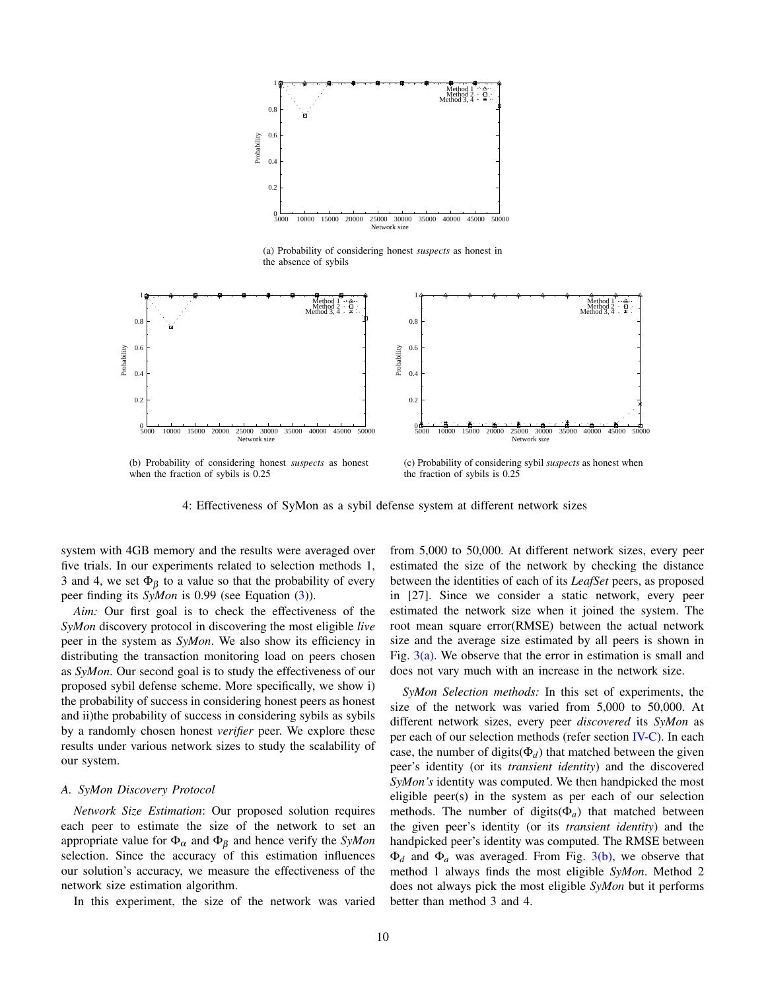<span id="page-9-0"></span>

(a) Probability of considering honest *suspects* as honest in the absence of sybils



<span id="page-9-1"></span>(b) Probability of considering honest *suspects* as honest when the fraction of sybils is 0.25

<span id="page-9-2"></span>(c) Probability of considering sybil *suspects* as honest when the fraction of sybils is 0.25

4: Effectiveness of SyMon as a sybil defense system at different network sizes

system with 4GB memory and the results were averaged over five trials. In our experiments related to selection methods 1, 3 and 4, we set  $\Phi_{\beta}$  to a value so that the probability of every peer finding its *SyMon* is 0.99 (see Equation [\(3\)](#page-7-2)).

*Aim:* Our first goal is to check the effectiveness of the *SyMon* discovery protocol in discovering the most eligible *live* peer in the system as *SyMon*. We also show its efficiency in distributing the transaction monitoring load on peers chosen as *SyMon*. Our second goal is to study the effectiveness of our proposed sybil defense scheme. More specifically, we show i) the probability of success in considering honest peers as honest and ii)the probability of success in considering sybils as sybils by a randomly chosen honest *verifier* peer. We explore these results under various network sizes to study the scalability of our system.

## *A. SyMon Discovery Protocol*

*Network Size Estimation*: Our proposed solution requires each peer to estimate the size of the network to set an appropriate value for  $\Phi_{\alpha}$  and  $\Phi_{\beta}$  and hence verify the *SyMon* selection. Since the accuracy of this estimation influences our solution's accuracy, we measure the effectiveness of the network size estimation algorithm.

In this experiment, the size of the network was varied

from 5,000 to 50,000. At different network sizes, every peer estimated the size of the network by checking the distance between the identities of each of its *LeafSet* peers, as proposed in [27]. Since we consider a static network, every peer estimated the network size when it joined the system. The root mean square error(RMSE) between the actual network size and the average size estimated by all peers is shown in Fig.  $3(a)$ . We observe that the error in estimation is small and does not vary much with an increase in the network size.

*SyMon Selection methods:* In this set of experiments, the size of the network was varied from 5,000 to 50,000. At different network sizes, every peer *discovered* its *SyMon* as per each of our selection methods (refer section [IV-C\)](#page-4-3). In each case, the number of digits( $\Phi_d$ ) that matched between the given peer's identity (or its *transient identity*) and the discovered *SyMon's* identity was computed. We then handpicked the most eligible peer(s) in the system as per each of our selection methods. The number of digits( $\Phi_a$ ) that matched between the given peer's identity (or its *transient identity*) and the handpicked peer's identity was computed. The RMSE between  $\Phi_d$  and  $\Phi_a$  was averaged. From Fig. [3\(b\),](#page-8-2) we observe that method 1 always finds the most eligible *SyMon*. Method 2 does not always pick the most eligible *SyMon* but it performs better than method 3 and 4.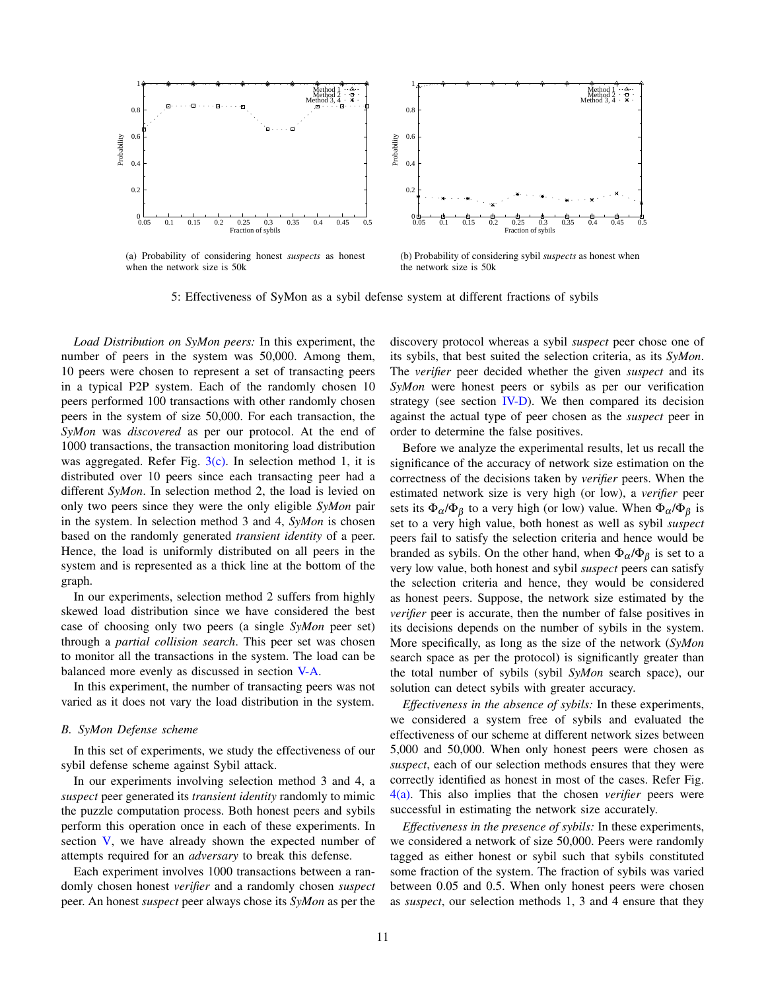<span id="page-10-0"></span>

(a) Probability of considering honest *suspects* as honest when the network size is 50k

<span id="page-10-1"></span>(b) Probability of considering sybil *suspects* as honest when the network size is 50k

5: Effectiveness of SyMon as a sybil defense system at different fractions of sybils

*Load Distribution on SyMon peers:* In this experiment, the number of peers in the system was 50,000. Among them, 10 peers were chosen to represent a set of transacting peers in a typical P2P system. Each of the randomly chosen 10 peers performed 100 transactions with other randomly chosen peers in the system of size 50,000. For each transaction, the *SyMon* was *discovered* as per our protocol. At the end of 1000 transactions, the transaction monitoring load distribution was aggregated. Refer Fig.  $3(c)$ . In selection method 1, it is distributed over 10 peers since each transacting peer had a different *SyMon*. In selection method 2, the load is levied on only two peers since they were the only eligible *SyMon* pair in the system. In selection method 3 and 4, *SyMon* is chosen based on the randomly generated *transient identity* of a peer. Hence, the load is uniformly distributed on all peers in the system and is represented as a thick line at the bottom of the graph.

In our experiments, selection method 2 suffers from highly skewed load distribution since we have considered the best case of choosing only two peers (a single *SyMon* peer set) through a *partial collision search*. This peer set was chosen to monitor all the transactions in the system. The load can be balanced more evenly as discussed in section [V-A.](#page-6-1)

In this experiment, the number of transacting peers was not varied as it does not vary the load distribution in the system.

# <span id="page-10-2"></span>*B. SyMon Defense scheme*

In this set of experiments, we study the effectiveness of our sybil defense scheme against Sybil attack.

In our experiments involving selection method 3 and 4, a *suspect* peer generated its *transient identity* randomly to mimic the puzzle computation process. Both honest peers and sybils perform this operation once in each of these experiments. In section [V,](#page-6-0) we have already shown the expected number of attempts required for an *adversary* to break this defense.

Each experiment involves 1000 transactions between a randomly chosen honest *verifier* and a randomly chosen *suspect* peer. An honest *suspect* peer always chose its *SyMon* as per the discovery protocol whereas a sybil *suspect* peer chose one of its sybils, that best suited the selection criteria, as its *SyMon*. The *verifier* peer decided whether the given *suspect* and its *SyMon* were honest peers or sybils as per our verification strategy (see section  $IV-D$ ). We then compared its decision against the actual type of peer chosen as the *suspect* peer in order to determine the false positives.

Before we analyze the experimental results, let us recall the significance of the accuracy of network size estimation on the correctness of the decisions taken by *verifier* peers. When the estimated network size is very high (or low), a *verifier* peer sets its  $\Phi_{\alpha}/\Phi_{\beta}$  to a very high (or low) value. When  $\Phi_{\alpha}/\Phi_{\beta}$  is set to a very high value, both honest as well as sybil *suspect* peers fail to satisfy the selection criteria and hence would be branded as sybils. On the other hand, when  $\Phi_{\alpha}/\Phi_{\beta}$  is set to a very low value, both honest and sybil *suspect* peers can satisfy the selection criteria and hence, they would be considered as honest peers. Suppose, the network size estimated by the *verifier* peer is accurate, then the number of false positives in its decisions depends on the number of sybils in the system. More specifically, as long as the size of the network (*SyMon* search space as per the protocol) is significantly greater than the total number of sybils (sybil *SyMon* search space), our solution can detect sybils with greater accuracy.

*Effectiveness in the absence of sybils:* In these experiments, we considered a system free of sybils and evaluated the effectiveness of our scheme at different network sizes between 5,000 and 50,000. When only honest peers were chosen as *suspect*, each of our selection methods ensures that they were correctly identified as honest in most of the cases. Refer Fig. [4\(a\).](#page-9-0) This also implies that the chosen *verifier* peers were successful in estimating the network size accurately.

*Effectiveness in the presence of sybils:* In these experiments, we considered a network of size 50,000. Peers were randomly tagged as either honest or sybil such that sybils constituted some fraction of the system. The fraction of sybils was varied between 0.05 and 0.5. When only honest peers were chosen as *suspect*, our selection methods 1, 3 and 4 ensure that they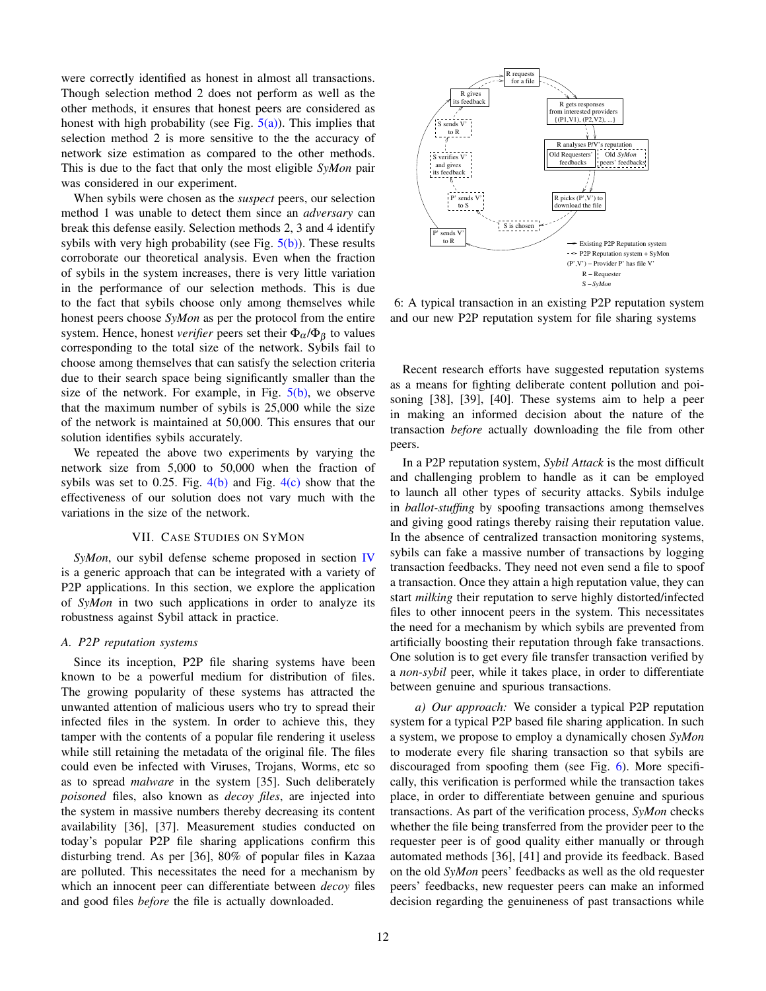were correctly identified as honest in almost all transactions. Though selection method 2 does not perform as well as the other methods, it ensures that honest peers are considered as honest with high probability (see Fig.  $5(a)$ ). This implies that selection method 2 is more sensitive to the the accuracy of network size estimation as compared to the other methods. This is due to the fact that only the most eligible *SyMon* pair was considered in our experiment.

When sybils were chosen as the *suspect* peers, our selection method 1 was unable to detect them since an *adversary* can break this defense easily. Selection methods 2, 3 and 4 identify sybils with very high probability (see Fig.  $5(b)$ ). These results corroborate our theoretical analysis. Even when the fraction of sybils in the system increases, there is very little variation in the performance of our selection methods. This is due to the fact that sybils choose only among themselves while honest peers choose *SyMon* as per the protocol from the entire system. Hence, honest *verifier* peers set their  $\Phi_{\alpha}/\Phi_{\beta}$  to values corresponding to the total size of the network. Sybils fail to choose among themselves that can satisfy the selection criteria due to their search space being significantly smaller than the size of the network. For example, in Fig.  $5(b)$ , we observe that the maximum number of sybils is 25,000 while the size of the network is maintained at 50,000. This ensures that our solution identifies sybils accurately.

We repeated the above two experiments by varying the network size from 5,000 to 50,000 when the fraction of sybils was set to 0.25. Fig.  $4(b)$  and Fig.  $4(c)$  show that the effectiveness of our solution does not vary much with the variations in the size of the network.

## VII. CASE STUDIES ON SYMON

<span id="page-11-0"></span>*SyMon*, our sybil defense scheme proposed in section [IV](#page-3-0) is a generic approach that can be integrated with a variety of P2P applications. In this section, we explore the application of *SyMon* in two such applications in order to analyze its robustness against Sybil attack in practice.

#### *A. P2P reputation systems*

Since its inception, P2P file sharing systems have been known to be a powerful medium for distribution of files. The growing popularity of these systems has attracted the unwanted attention of malicious users who try to spread their infected files in the system. In order to achieve this, they tamper with the contents of a popular file rendering it useless while still retaining the metadata of the original file. The files could even be infected with Viruses, Trojans, Worms, etc so as to spread *malware* in the system [35]. Such deliberately *poisoned* files, also known as *decoy files*, are injected into the system in massive numbers thereby decreasing its content availability [36], [37]. Measurement studies conducted on today's popular P2P file sharing applications confirm this disturbing trend. As per [36], 80% of popular files in Kazaa are polluted. This necessitates the need for a mechanism by which an innocent peer can differentiate between *decoy* files and good files *before* the file is actually downloaded.



<span id="page-11-1"></span>6: A typical transaction in an existing P2P reputation system and our new P2P reputation system for file sharing systems

Recent research efforts have suggested reputation systems as a means for fighting deliberate content pollution and poisoning [38], [39], [40]. These systems aim to help a peer in making an informed decision about the nature of the transaction *before* actually downloading the file from other peers.

In a P2P reputation system, *Sybil Attack* is the most difficult and challenging problem to handle as it can be employed to launch all other types of security attacks. Sybils indulge in *ballot-stuffing* by spoofing transactions among themselves and giving good ratings thereby raising their reputation value. In the absence of centralized transaction monitoring systems, sybils can fake a massive number of transactions by logging transaction feedbacks. They need not even send a file to spoof a transaction. Once they attain a high reputation value, they can start *milking* their reputation to serve highly distorted/infected files to other innocent peers in the system. This necessitates the need for a mechanism by which sybils are prevented from artificially boosting their reputation through fake transactions. One solution is to get every file transfer transaction verified by a *non-sybil* peer, while it takes place, in order to differentiate between genuine and spurious transactions.

*a) Our approach:* We consider a typical P2P reputation system for a typical P2P based file sharing application. In such a system, we propose to employ a dynamically chosen *SyMon* to moderate every file sharing transaction so that sybils are discouraged from spoofing them (see Fig. [6\)](#page-11-1). More specifically, this verification is performed while the transaction takes place, in order to differentiate between genuine and spurious transactions. As part of the verification process, *SyMon* checks whether the file being transferred from the provider peer to the requester peer is of good quality either manually or through automated methods [36], [41] and provide its feedback. Based on the old *SyMon* peers' feedbacks as well as the old requester peers' feedbacks, new requester peers can make an informed decision regarding the genuineness of past transactions while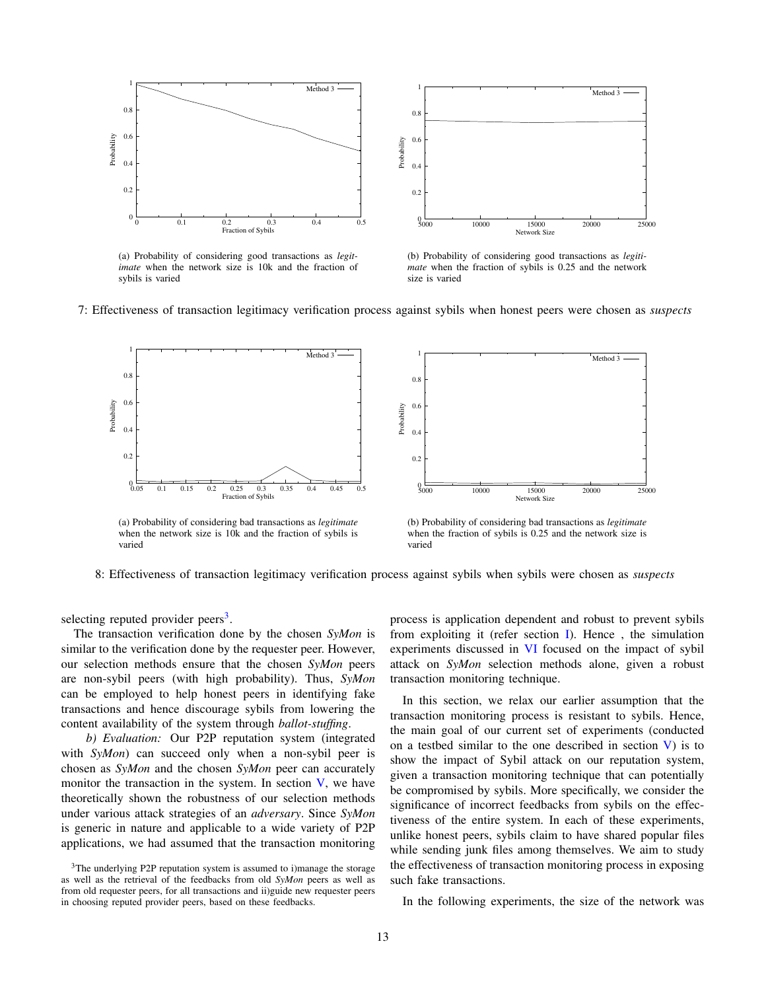<span id="page-12-1"></span>

(a) Probability of considering good transactions as *legitimate* when the network size is 10k and the fraction of sybils is varied



Method 3

<span id="page-12-3"></span>(b) Probability of considering good transactions as *legitimate* when the fraction of sybils is 0.25 and the network size is varied

<span id="page-12-2"></span>



when the network size is 10k and the fraction of sybils is varied

<span id="page-12-4"></span>when the fraction of sybils is 0.25 and the network size is varied

8: Effectiveness of transaction legitimacy verification process against sybils when sybils were chosen as *suspects*

selecting reputed provider peers<sup>[3](#page-12-0)</sup>.

The transaction verification done by the chosen *SyMon* is similar to the verification done by the requester peer. However, our selection methods ensure that the chosen *SyMon* peers are non-sybil peers (with high probability). Thus, *SyMon* can be employed to help honest peers in identifying fake transactions and hence discourage sybils from lowering the content availability of the system through *ballot-stuffing*.

*b) Evaluation:* Our P2P reputation system (integrated with *SyMon*) can succeed only when a non-sybil peer is chosen as *SyMon* and the chosen *SyMon* peer can accurately monitor the transaction in the system. In section  $V$ , we have theoretically shown the robustness of our selection methods under various attack strategies of an *adversary*. Since *SyMon* is generic in nature and applicable to a wide variety of P2P applications, we had assumed that the transaction monitoring

<span id="page-12-0"></span><sup>3</sup>The underlying P2P reputation system is assumed to i)manage the storage as well as the retrieval of the feedbacks from old *SyMon* peers as well as from old requester peers, for all transactions and ii)guide new requester peers in choosing reputed provider peers, based on these feedbacks.

process is application dependent and robust to prevent sybils from exploiting it (refer section [I\)](#page-0-1). Hence , the simulation experiments discussed in [VI](#page-8-0) focused on the impact of sybil attack on *SyMon* selection methods alone, given a robust transaction monitoring technique.

In this section, we relax our earlier assumption that the transaction monitoring process is resistant to sybils. Hence, the main goal of our current set of experiments (conducted on a testbed similar to the one described in section  $V$ ) is to show the impact of Sybil attack on our reputation system, given a transaction monitoring technique that can potentially be compromised by sybils. More specifically, we consider the significance of incorrect feedbacks from sybils on the effectiveness of the entire system. In each of these experiments, unlike honest peers, sybils claim to have shared popular files while sending junk files among themselves. We aim to study the effectiveness of transaction monitoring process in exposing such fake transactions.

In the following experiments, the size of the network was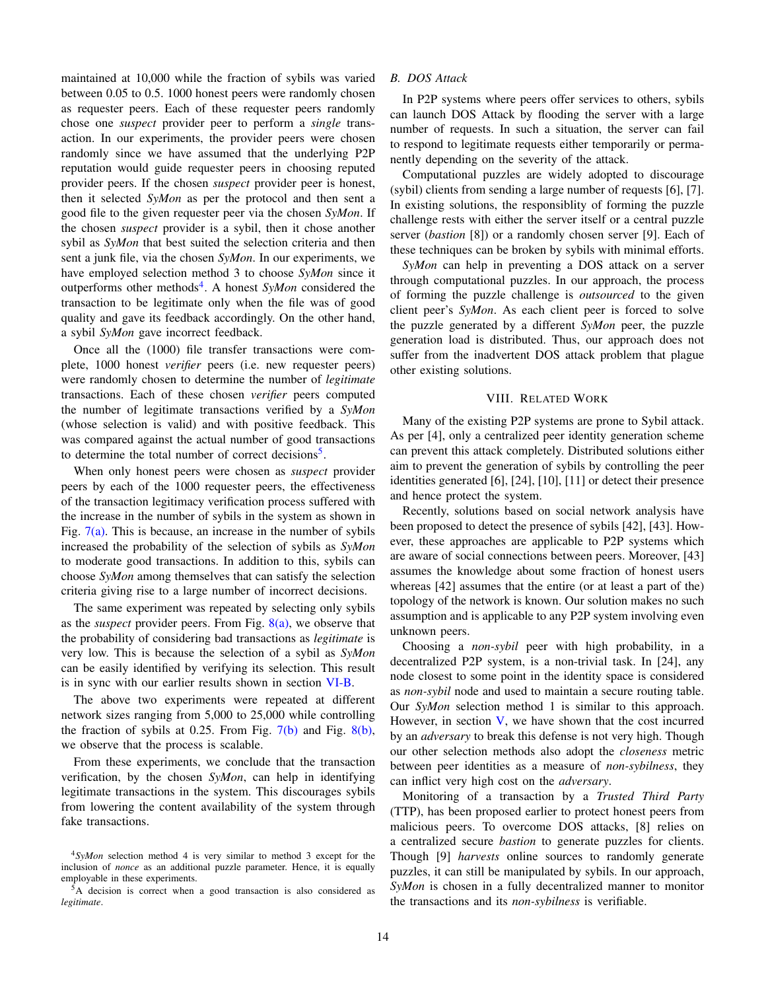maintained at 10,000 while the fraction of sybils was varied between 0.05 to 0.5. 1000 honest peers were randomly chosen as requester peers. Each of these requester peers randomly chose one *suspect* provider peer to perform a *single* transaction. In our experiments, the provider peers were chosen randomly since we have assumed that the underlying P2P reputation would guide requester peers in choosing reputed provider peers. If the chosen *suspect* provider peer is honest, then it selected *SyMon* as per the protocol and then sent a good file to the given requester peer via the chosen *SyMon*. If the chosen *suspect* provider is a sybil, then it chose another sybil as *SyMon* that best suited the selection criteria and then sent a junk file, via the chosen *SyMon*. In our experiments, we have employed selection method 3 to choose *SyMon* since it outperforms other methods<sup>[4](#page-13-1)</sup>. A honest *SyMon* considered the transaction to be legitimate only when the file was of good quality and gave its feedback accordingly. On the other hand, a sybil *SyMon* gave incorrect feedback.

Once all the (1000) file transfer transactions were complete, 1000 honest *verifier* peers (i.e. new requester peers) were randomly chosen to determine the number of *legitimate* transactions. Each of these chosen *verifier* peers computed the number of legitimate transactions verified by a *SyMon* (whose selection is valid) and with positive feedback. This was compared against the actual number of good transactions to determine the total number of correct decisions<sup>[5](#page-13-2)</sup>.

When only honest peers were chosen as *suspect* provider peers by each of the 1000 requester peers, the effectiveness of the transaction legitimacy verification process suffered with the increase in the number of sybils in the system as shown in Fig.  $7(a)$ . This is because, an increase in the number of sybils increased the probability of the selection of sybils as *SyMon* to moderate good transactions. In addition to this, sybils can choose *SyMon* among themselves that can satisfy the selection criteria giving rise to a large number of incorrect decisions.

The same experiment was repeated by selecting only sybils as the *suspect* provider peers. From Fig. [8\(a\),](#page-12-2) we observe that the probability of considering bad transactions as *legitimate* is very low. This is because the selection of a sybil as *SyMon* can be easily identified by verifying its selection. This result is in sync with our earlier results shown in section [VI-B.](#page-10-2)

The above two experiments were repeated at different network sizes ranging from 5,000 to 25,000 while controlling the fraction of sybils at 0.25. From Fig.  $7(b)$  and Fig.  $8(b)$ , we observe that the process is scalable.

From these experiments, we conclude that the transaction verification, by the chosen *SyMon*, can help in identifying legitimate transactions in the system. This discourages sybils from lowering the content availability of the system through fake transactions.

## *B. DOS Attack*

In P2P systems where peers offer services to others, sybils can launch DOS Attack by flooding the server with a large number of requests. In such a situation, the server can fail to respond to legitimate requests either temporarily or permanently depending on the severity of the attack.

Computational puzzles are widely adopted to discourage (sybil) clients from sending a large number of requests [6], [7]. In existing solutions, the responsiblity of forming the puzzle challenge rests with either the server itself or a central puzzle server (*bastion* [8]) or a randomly chosen server [9]. Each of these techniques can be broken by sybils with minimal efforts.

*SyMon* can help in preventing a DOS attack on a server through computational puzzles. In our approach, the process of forming the puzzle challenge is *outsourced* to the given client peer's *SyMon*. As each client peer is forced to solve the puzzle generated by a different *SyMon* peer, the puzzle generation load is distributed. Thus, our approach does not suffer from the inadvertent DOS attack problem that plague other existing solutions.

# VIII. RELATED WORK

<span id="page-13-0"></span>Many of the existing P2P systems are prone to Sybil attack. As per [4], only a centralized peer identity generation scheme can prevent this attack completely. Distributed solutions either aim to prevent the generation of sybils by controlling the peer identities generated [6], [24], [10], [11] or detect their presence and hence protect the system.

Recently, solutions based on social network analysis have been proposed to detect the presence of sybils [42], [43]. However, these approaches are applicable to P2P systems which are aware of social connections between peers. Moreover, [43] assumes the knowledge about some fraction of honest users whereas [42] assumes that the entire (or at least a part of the) topology of the network is known. Our solution makes no such assumption and is applicable to any P2P system involving even unknown peers.

Choosing a *non-sybil* peer with high probability, in a decentralized P2P system, is a non-trivial task. In [24], any node closest to some point in the identity space is considered as *non-sybil* node and used to maintain a secure routing table. Our *SyMon* selection method 1 is similar to this approach. However, in section  $V$ , we have shown that the cost incurred by an *adversary* to break this defense is not very high. Though our other selection methods also adopt the *closeness* metric between peer identities as a measure of *non-sybilness*, they can inflict very high cost on the *adversary*.

Monitoring of a transaction by a *Trusted Third Party* (TTP), has been proposed earlier to protect honest peers from malicious peers. To overcome DOS attacks, [8] relies on a centralized secure *bastion* to generate puzzles for clients. Though [9] *harvests* online sources to randomly generate puzzles, it can still be manipulated by sybils. In our approach, *SyMon* is chosen in a fully decentralized manner to monitor the transactions and its *non-sybilness* is verifiable.

<span id="page-13-1"></span><sup>4</sup>*SyMon* selection method 4 is very similar to method 3 except for the inclusion of *nonce* as an additional puzzle parameter. Hence, it is equally employable in these experiments.

<span id="page-13-2"></span><sup>5</sup>A decision is correct when a good transaction is also considered as *legitimate*.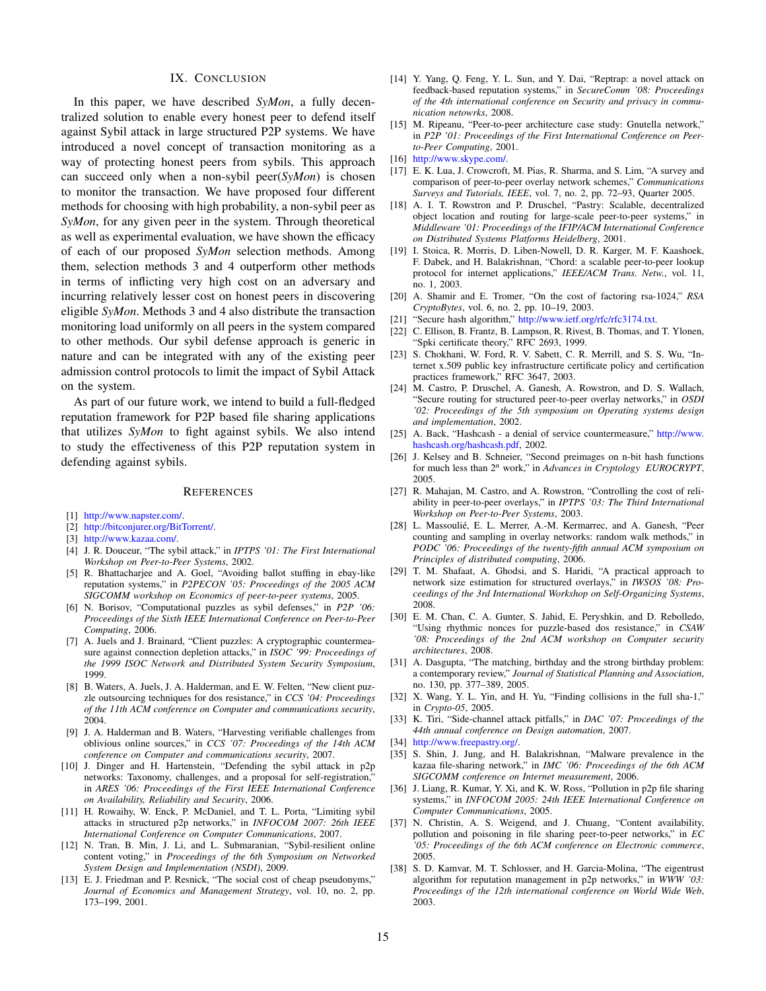## IX. CONCLUSION

<span id="page-14-0"></span>In this paper, we have described *SyMon*, a fully decentralized solution to enable every honest peer to defend itself against Sybil attack in large structured P2P systems. We have introduced a novel concept of transaction monitoring as a way of protecting honest peers from sybils. This approach can succeed only when a non-sybil peer(*SyMon*) is chosen to monitor the transaction. We have proposed four different methods for choosing with high probability, a non-sybil peer as *SyMon*, for any given peer in the system. Through theoretical as well as experimental evaluation, we have shown the efficacy of each of our proposed *SyMon* selection methods. Among them, selection methods 3 and 4 outperform other methods in terms of inflicting very high cost on an adversary and incurring relatively lesser cost on honest peers in discovering eligible *SyMon*. Methods 3 and 4 also distribute the transaction monitoring load uniformly on all peers in the system compared to other methods. Our sybil defense approach is generic in nature and can be integrated with any of the existing peer admission control protocols to limit the impact of Sybil Attack on the system.

As part of our future work, we intend to build a full-fledged reputation framework for P2P based file sharing applications that utilizes *SyMon* to fight against sybils. We also intend to study the effectiveness of this P2P reputation system in defending against sybils.

#### **REFERENCES**

- [1] [http://www.napster.com/.](http://www.napster.com/)
- [2] [http://bitconjurer.org/BitTorrent/.](http://bitconjurer.org/BitTorrent/)
- [3] [http://www.kazaa.com/.](http://www.kazaa.com/)
- [4] J. R. Douceur, "The sybil attack," in *IPTPS '01: The First International Workshop on Peer-to-Peer Systems*, 2002.
- [5] R. Bhattacharjee and A. Goel, "Avoiding ballot stuffing in ebay-like reputation systems," in *P2PECON '05: Proceedings of the 2005 ACM SIGCOMM workshop on Economics of peer-to-peer systems*, 2005.
- [6] N. Borisov, "Computational puzzles as sybil defenses," in *P2P '06: Proceedings of the Sixth IEEE International Conference on Peer-to-Peer Computing*, 2006.
- [7] A. Juels and J. Brainard, "Client puzzles: A cryptographic countermeasure against connection depletion attacks," in *ISOC '99: Proceedings of the 1999 ISOC Network and Distributed System Security Symposium*, 1999.
- [8] B. Waters, A. Juels, J. A. Halderman, and E. W. Felten, "New client puzzle outsourcing techniques for dos resistance," in *CCS '04: Proceedings of the 11th ACM conference on Computer and communications security*, 2004.
- [9] J. A. Halderman and B. Waters, "Harvesting verifiable challenges from oblivious online sources," in *CCS '07: Proceedings of the 14th ACM conference on Computer and communications security*, 2007.
- [10] J. Dinger and H. Hartenstein, "Defending the sybil attack in p2p networks: Taxonomy, challenges, and a proposal for self-registration,' in *ARES '06: Proceedings of the First IEEE International Conference on Availability, Reliability and Security*, 2006.
- [11] H. Rowaihy, W. Enck, P. McDaniel, and T. L. Porta, "Limiting sybil attacks in structured p2p networks," in *INFOCOM 2007: 26th IEEE International Conference on Computer Communications*, 2007.
- [12] N. Tran, B. Min, J. Li, and L. Submaranian, "Sybil-resilient online content voting," in *Proceedings of the 6th Symposium on Networked System Design and Implementation (NSDI)*, 2009.
- [13] E. J. Friedman and P. Resnick, "The social cost of cheap pseudonyms," *Journal of Economics and Management Strategy*, vol. 10, no. 2, pp. 173–199, 2001.
- [14] Y. Yang, Q. Feng, Y. L. Sun, and Y. Dai, "Reptrap: a novel attack on feedback-based reputation systems," in *SecureComm '08: Proceedings of the 4th international conference on Security and privacy in communication netowrks*, 2008.
- [15] M. Ripeanu, "Peer-to-peer architecture case study: Gnutella network," in *P2P '01: Proceedings of the First International Conference on Peerto-Peer Computing*, 2001.
- [16] [http://www.skype.com/.](http://www.skype.com/)
- [17] E. K. Lua, J. Crowcroft, M. Pias, R. Sharma, and S. Lim, "A survey and comparison of peer-to-peer overlay network schemes," *Communications Surveys and Tutorials, IEEE*, vol. 7, no. 2, pp. 72–93, Quarter 2005.
- [18] A. I. T. Rowstron and P. Druschel, "Pastry: Scalable, decentralized object location and routing for large-scale peer-to-peer systems," in *Middleware '01: Proceedings of the IFIP/ACM International Conference on Distributed Systems Platforms Heidelberg*, 2001.
- [19] I. Stoica, R. Morris, D. Liben-Nowell, D. R. Karger, M. F. Kaashoek, F. Dabek, and H. Balakrishnan, "Chord: a scalable peer-to-peer lookup protocol for internet applications," *IEEE/ACM Trans. Netw.*, vol. 11, no. 1, 2003.
- [20] A. Shamir and E. Tromer, "On the cost of factoring rsa-1024," *RSA CryptoBytes*, vol. 6, no. 2, pp. 10–19, 2003.
- [21] "Secure hash algorithm," [http://www.ietf.org/rfc/rfc3174.txt.](http://www.ietf.org/rfc/rfc3174.txt)
- C. Ellison, B. Frantz, B. Lampson, R. Rivest, B. Thomas, and T. Ylonen, "Spki certificate theory," RFC 2693, 1999.
- [23] S. Chokhani, W. Ford, R. V. Sabett, C. R. Merrill, and S. S. Wu, "Internet x.509 public key infrastructure certificate policy and certification practices framework," RFC 3647, 2003.
- [24] M. Castro, P. Druschel, A. Ganesh, A. Rowstron, and D. S. Wallach, "Secure routing for structured peer-to-peer overlay networks," in *OSDI '02: Proceedings of the 5th symposium on Operating systems design and implementation*, 2002.
- [25] A. Back, "Hashcash a denial of service countermeasure," [http://www.](http://www.hashcash.org/hashcash.pdf) [hashcash.org/hashcash.pdf,](http://www.hashcash.org/hashcash.pdf) 2002.
- [26] J. Kelsey and B. Schneier, "Second preimages on n-bit hash functions for much less than 2*<sup>n</sup>* work," in *Advances in Cryptology EUROCRYPT*, 2005.
- [27] R. Mahajan, M. Castro, and A. Rowstron, "Controlling the cost of reliability in peer-to-peer overlays," in *IPTPS '03: The Third International Workshop on Peer-to-Peer Systems*, 2003.
- [28] L. Massoulié, E. L. Merrer, A.-M. Kermarrec, and A. Ganesh, "Peer counting and sampling in overlay networks: random walk methods," in *PODC '06: Proceedings of the twenty-fifth annual ACM symposium on Principles of distributed computing*, 2006.
- [29] T. M. Shafaat, A. Ghodsi, and S. Haridi, "A practical approach to network size estimation for structured overlays," in *IWSOS '08: Proceedings of the 3rd International Workshop on Self-Organizing Systems*, 2008.
- [30] E. M. Chan, C. A. Gunter, S. Jahid, E. Peryshkin, and D. Rebolledo, "Using rhythmic nonces for puzzle-based dos resistance," in *CSAW '08: Proceedings of the 2nd ACM workshop on Computer security architectures*, 2008.
- [31] A. Dasgupta, "The matching, birthday and the strong birthday problem: a contemporary review," *Journal of Statistical Planning and Association*, no. 130, pp. 377–389, 2005.
- [32] X. Wang, Y. L. Yin, and H. Yu, "Finding collisions in the full sha-1," in *Crypto-05*, 2005.
- [33] K. Tiri, "Side-channel attack pitfalls," in *DAC '07: Proceedings of the 44th annual conference on Design automation*, 2007.
- 
- [34] [http://www.freepastry.org/.](http://www.freepastry.org/)<br>[35] S. Shin, J. Jung, and H. [35] S. Shin, J. Jung, and H. Balakrishnan, "Malware prevalence in the kazaa file-sharing network," in *IMC '06: Proceedings of the 6th ACM SIGCOMM conference on Internet measurement*, 2006.
- [36] J. Liang, R. Kumar, Y. Xi, and K. W. Ross, "Pollution in p2p file sharing systems," in *INFOCOM 2005: 24th IEEE International Conference on Computer Communications*, 2005.
- [37] N. Christin, A. S. Weigend, and J. Chuang, "Content availability, pollution and poisoning in file sharing peer-to-peer networks," in *EC '05: Proceedings of the 6th ACM conference on Electronic commerce*, 2005.
- [38] S. D. Kamvar, M. T. Schlosser, and H. Garcia-Molina, "The eigentrust algorithm for reputation management in p2p networks," in *WWW '03: Proceedings of the 12th international conference on World Wide Web*, 2003.